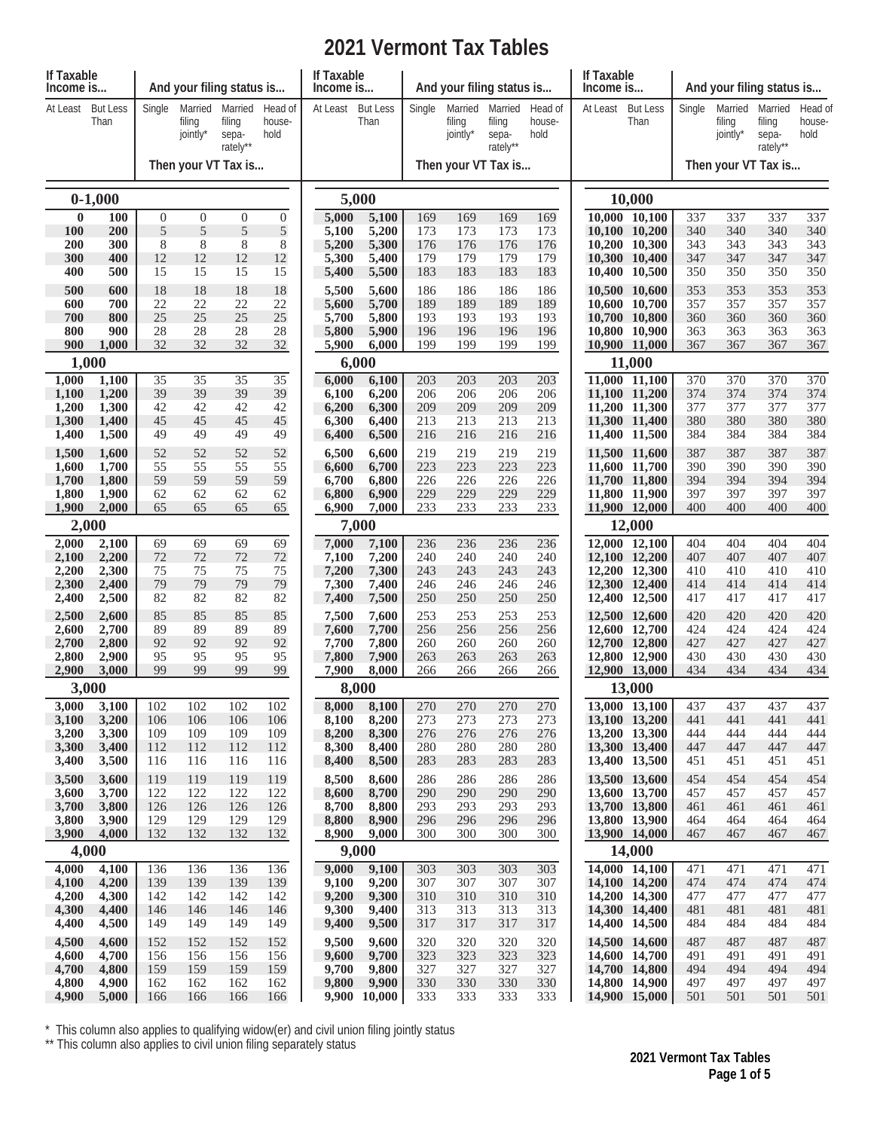## **2021 Vermont Tax Tables**

| If Taxable<br>Income is |                         |                  |                               | And your filing status is              |                           | If Taxable<br>Income is |                         |            | And your filing status is     |                                        |                           | If Taxable<br>Income is |                                |            | And your filing status is     |                                        |                           |  |  |
|-------------------------|-------------------------|------------------|-------------------------------|----------------------------------------|---------------------------|-------------------------|-------------------------|------------|-------------------------------|----------------------------------------|---------------------------|-------------------------|--------------------------------|------------|-------------------------------|----------------------------------------|---------------------------|--|--|
| At Least                | <b>But Less</b><br>Than | Single           | Married<br>filing<br>jointly* | Married<br>filing<br>sepa-<br>rately** | Head of<br>house-<br>hold | At Least                | <b>But Less</b><br>Than | Single     | Married<br>filing<br>jointly* | Married<br>filing<br>sepa-<br>rately** | Head of<br>house-<br>hold | At Least                | <b>But Less</b><br>Than        | Single     | Married<br>filing<br>jointly* | Married<br>filing<br>sepa-<br>rately** | Head of<br>house-<br>hold |  |  |
|                         |                         |                  |                               | Then your VT Tax is                    |                           |                         |                         |            | Then your VT Tax is           |                                        |                           |                         |                                |            | Then your VT Tax is           |                                        |                           |  |  |
|                         | $0-1,000$               |                  |                               |                                        |                           |                         | 5,000                   |            |                               |                                        |                           | 10,000                  |                                |            |                               |                                        |                           |  |  |
| $\bf{0}$                | 100                     | $\boldsymbol{0}$ | $\boldsymbol{0}$              | $\mathbf{0}$                           | $\mathbf{0}$              | 5,000                   | 5,100                   | 169        | 169                           | 169                                    | 169                       |                         | 10,000 10,100                  | 337        | 337                           | 337                                    | 337                       |  |  |
| <b>100</b>              | 200                     | 5                | 5                             | $\sqrt{5}$                             | 5                         | 5,100                   | 5,200                   | 173        | 173                           | 173                                    | 173                       |                         | 10,100 10,200                  | 340        | 340                           | 340                                    | 340                       |  |  |
| 200<br>300              | 300<br>400              | 8<br>12          | 8<br>12                       | 8<br>12                                | 8<br>12                   | 5,200<br>5,300          | 5,300<br>5,400          | 176<br>179 | 176<br>179                    | 176<br>179                             | 176<br>179                |                         | 10,200 10,300<br>10,300 10,400 | 343<br>347 | 343<br>347                    | 343<br>347                             | 343<br>347                |  |  |
| 400                     | 500                     | 15               | 15                            | 15                                     | 15                        | 5,400                   | 5,500                   | 183        | 183                           | 183                                    | 183                       |                         | 10,400 10,500                  | 350        | 350                           | 350                                    | 350                       |  |  |
| 500                     | 600                     | 18               | 18                            | 18                                     | 18                        | 5,500                   | 5,600                   | 186        | 186                           | 186                                    | 186                       |                         | 10,500 10,600                  | 353        | 353                           | 353                                    | 353                       |  |  |
| 600                     | 700                     | 22               | 22                            | 22                                     | 22                        | 5,600                   | 5,700                   | 189        | 189                           | 189                                    | 189                       |                         | 10,600 10,700                  | 357        | 357                           | 357                                    | 357                       |  |  |
| 700                     | 800                     | 25               | 25                            | 25                                     | 25                        | 5,700                   | 5,800                   | 193        | 193                           | 193                                    | 193                       |                         | 10,700 10,800                  | 360        | 360                           | 360                                    | 360                       |  |  |
| 800                     | 900                     | 28<br>32         | 28<br>32                      | 28<br>32                               | 28                        | 5,800                   | 5,900                   | 196        | 196                           | 196                                    | 196                       |                         | 10,800 10,900                  | 363        | 363                           | 363                                    | 363<br>367                |  |  |
| 900                     | 1,000<br>1,000          |                  |                               |                                        | 32                        | 5,900                   | 6,000<br>6,000          | 199        | 199                           | 199                                    | 199                       |                         | 10,900 11,000<br>11,000        | 367        | 367                           | 367                                    |                           |  |  |
|                         |                         |                  | 35                            |                                        |                           |                         |                         |            | 203                           | 203                                    | 203                       |                         |                                | 370        | 370                           | 370                                    | 370                       |  |  |
| 1,000<br>1,100          | 1,100<br>1,200          | 35<br>39         | 39                            | 35<br>39                               | 35<br>39                  | 6,000<br>6,100          | 6,100<br>6,200          | 203<br>206 | 206                           | 206                                    | 206                       |                         | 11,000 11,100<br>11,100 11,200 | 374        | 374                           | 374                                    | 374                       |  |  |
| 1,200                   | 1,300                   | 42               | 42                            | 42                                     | 42                        | 6,200                   | 6,300                   | 209        | 209                           | 209                                    | 209                       |                         | 11,200 11,300                  | 377        | 377                           | 377                                    | 377                       |  |  |
| 1,300                   | 1,400                   | 45               | 45                            | 45                                     | 45                        | 6,300                   | 6,400                   | 213        | 213                           | 213                                    | 213                       |                         | 11,300 11,400                  | 380        | 380                           | 380                                    | 380                       |  |  |
| 1,400                   | 1,500                   | 49               | 49                            | 49                                     | 49                        | 6,400                   | 6,500                   | 216        | 216                           | 216                                    | 216                       |                         | 11,400 11,500                  | 384        | 384                           | 384                                    | 384                       |  |  |
| 1,500                   | 1,600                   | 52               | 52                            | 52                                     | 52                        | 6,500                   | 6,600                   | 219        | 219                           | 219                                    | 219                       |                         | 11.500 11.600                  | 387        | 387                           | 387                                    | 387                       |  |  |
| 1,600<br>1,700          | 1,700<br>1,800          | 55<br>59         | 55<br>59                      | 55<br>59                               | 55<br>59                  | 6,600<br>6,700          | 6,700<br>6,800          | 223<br>226 | 223<br>226                    | 223<br>226                             | 223<br>226                |                         | 11,600 11,700<br>11,700 11,800 | 390<br>394 | 390<br>394                    | 390<br>394                             | 390<br>394                |  |  |
| 1,800                   | 1,900                   | 62               | 62                            | 62                                     | 62                        | 6,800                   | 6,900                   | 229        | 229                           | 229                                    | 229                       |                         | 11,800 11,900                  | 397        | 397                           | 397                                    | 397                       |  |  |
| 1,900                   | 2,000                   | 65               | 65                            | 65                                     | 65                        | 6,900                   | 7,000                   | 233        | 233                           | 233                                    | 233                       |                         | 11,900 12,000                  | 400        | 400                           | 400                                    | 400                       |  |  |
| 2,000                   |                         |                  |                               |                                        | 7,000                     |                         |                         |            |                               |                                        | 12,000                    |                         |                                |            |                               |                                        |                           |  |  |
| 2,000                   | 2,100                   | 69               | 69                            | 69                                     | 69                        | 7,000                   | 7,100                   | 236        | 236                           | 236                                    | 236                       |                         | 12,000 12,100                  | 404        | 404                           | 404                                    | 404                       |  |  |
| 2,100                   | 2,200                   | 72               | 72                            | 72                                     | 72                        | 7,100                   | 7,200                   | 240        | 240                           | 240                                    | 240                       |                         | 12,100 12,200                  | 407        | 407                           | 407                                    | 407                       |  |  |
| 2,200<br>2,300          | 2,300<br>2,400          | 75<br>79         | 75<br>79                      | 75<br>79                               | 75<br>79                  | 7,200<br>7,300          | 7,300<br>7,400          | 243<br>246 | 243<br>246                    | 243<br>246                             | 243<br>246                |                         | 12,200 12,300<br>12,300 12,400 | 410<br>414 | 410<br>414                    | 410<br>414                             | 410<br>414                |  |  |
| 2,400                   | 2,500                   | 82               | 82                            | 82                                     | 82                        | 7,400                   | 7,500                   | 250        | 250                           | 250                                    | 250                       |                         | 12,400 12,500                  | 417        | 417                           | 417                                    | 417                       |  |  |
| 2,500                   | 2,600                   | 85               | 85                            | 85                                     | 85                        | 7,500                   | 7,600                   | 253        | 253                           | 253                                    | 253                       |                         | 12,500 12,600                  | 420        | 420                           | 420                                    | 420                       |  |  |
| 2,600                   | 2,700                   | 89               | 89                            | 89                                     | 89                        | 7,600                   | 7,700                   | 256        | 256                           | 256                                    | 256                       |                         | 12,600 12,700                  | 424        | 424                           | 424                                    | 424                       |  |  |
| 2,700                   | 2,800                   | 92               | 92                            | 92                                     | 92                        | 7,700                   | 7,800                   | 260        | 260                           | 260                                    | 260                       |                         | 12,700 12,800                  | 427        | 427                           | 427                                    | 427                       |  |  |
| 2,800<br>2,900          | 2,900<br>3,000          | 95<br>99         | 95<br>99                      | 95<br>99                               | 95<br>99                  | 7,800<br>7,900          | 7,900<br>8,000          | 263<br>266 | 263<br>266                    | 263<br>266                             | 263<br>266                |                         | 12,800 12,900                  | 430<br>434 | 430<br>434                    | 430<br>434                             | 430<br>434                |  |  |
|                         | 3,000                   |                  |                               |                                        |                           |                         | 8,000                   |            |                               |                                        |                           | 12,900 13,000<br>13,000 |                                |            |                               |                                        |                           |  |  |
| 3,000                   | 3,100                   | 102              | 102                           | 102                                    | 102                       | 8,000                   | 8,100                   | 270        | 270                           | 270                                    | 270                       |                         | 13,000 13,100                  | 437        | 437                           | 437                                    | 437                       |  |  |
| 3,100                   | 3,200                   | 106              | 106                           | 106                                    | 106                       | 8,100                   | 8,200                   | 273        | 273                           | 273                                    | 273                       |                         | 13,100 13,200                  | 441        | 441                           | 441                                    | 441                       |  |  |
| 3,200                   | 3,300                   | 109              | 109                           | 109                                    | 109                       | 8,200                   | 8,300                   | 276        | 276                           | 276                                    | 276                       |                         | 13,200 13,300                  | 444        | 444                           | 444                                    | 444                       |  |  |
| 3,300                   | 3,400                   | 112              | 112                           | 112                                    | 112                       | 8,300                   | 8,400                   | 280        | 280                           | 280                                    | 280                       |                         | 13,300 13,400                  | 447        | 447                           | 447                                    | 447                       |  |  |
| 3,400                   | 3,500                   | 116              | 116                           | 116                                    | 116                       | 8,400                   | 8,500                   | 283        | 283                           | 283                                    | 283                       |                         | 13,400 13,500                  | 451        | 451                           | 451                                    | 451                       |  |  |
| 3,500<br>3,600          | 3,600<br>3,700          | 119<br>122       | 119<br>122                    | 119<br>122                             | 119<br>122                | 8,500<br>8,600          | 8,600<br>8,700          | 286<br>290 | 286<br>290                    | 286<br>290                             | 286<br>290                |                         | 13,500 13,600<br>13,600 13,700 | 454<br>457 | 454<br>457                    | 454<br>457                             | 454<br>457                |  |  |
| 3,700                   | 3,800                   | 126              | 126                           | 126                                    | 126                       | 8,700                   | 8,800                   | 293        | 293                           | 293                                    | 293                       |                         | 13,700 13,800                  | 461        | 461                           | 461                                    | 461                       |  |  |
| 3,800                   | 3,900                   | 129              | 129                           | 129                                    | 129                       | 8,800                   | 8,900                   | 296        | 296                           | 296                                    | 296                       |                         | 13,800 13,900                  | 464        | 464                           | 464                                    | 464                       |  |  |
| 3,900                   | 4,000                   | 132              | 132                           | 132                                    | 132                       | 8,900                   | 9,000                   | 300        | 300                           | 300                                    | 300                       |                         | 13,900 14,000                  | 467        | 467                           | 467                                    | 467                       |  |  |
|                         | 4,000                   |                  |                               |                                        |                           | 9,000                   |                         |            |                               |                                        |                           | 14,000                  |                                |            |                               |                                        |                           |  |  |
| 4,000                   | 4,100                   | 136              | 136                           | 136                                    | 136                       | 9,000                   | 9,100                   | 303        | 303                           | 303                                    | 303                       |                         | 14,000 14,100                  | 471        | 471                           | 471                                    | 471                       |  |  |
| 4,100<br>4,200          | 4,200<br>4,300          | 139<br>142       | 139<br>142                    | 139<br>142                             | 139<br>142                | 9,100<br>9,200          | 9,200<br>9,300          | 307<br>310 | 307<br>310                    | 307<br>310                             | 307<br>310                |                         | 14,100 14,200<br>14,200 14,300 | 474<br>477 | 474<br>477                    | 474<br>477                             | 474<br>477                |  |  |
| 4,300                   | 4,400                   | 146              | 146                           | 146                                    | 146                       | 9,300                   | 9,400                   | 313        | 313                           | 313                                    | 313                       |                         | 14,300 14,400                  | 481        | 481                           | 481                                    | 481                       |  |  |
| 4,400                   | 4,500                   | 149              | 149                           | 149                                    | 149                       | 9,400                   | 9,500                   | 317        | 317                           | 317                                    | 317                       |                         | 14,400 14,500                  | 484        | 484                           | 484                                    | 484                       |  |  |
| 4,500                   | 4,600                   | 152              | 152                           | 152                                    | 152                       | 9,500                   | 9,600                   | 320        | 320                           | 320                                    | 320                       |                         | 14,500 14,600                  | 487        | 487                           | 487                                    | 487                       |  |  |
| 4,600                   | 4,700                   | 156              | 156                           | 156                                    | 156                       | 9,600                   | 9,700                   | 323        | 323                           | 323                                    | 323                       |                         | 14,600 14,700                  | 491        | 491                           | 491                                    | 491                       |  |  |
| 4,700<br>4,800          | 4,800<br>4,900          | 159<br>162       | 159<br>162                    | 159<br>162                             | 159                       | 9,700<br>9,800          | 9,800<br>9,900          | 327<br>330 | 327<br>330                    | 327<br>330                             | 327                       |                         | 14,700 14,800<br>14,800 14,900 | 494<br>497 | 494<br>497                    | 494<br>497                             | 494<br>497                |  |  |
| 4,900                   | 5,000                   | 166              | 166                           | 166                                    | 162<br>166                |                         | 9,900 10,000            | 333        | 333                           | 333                                    | 330<br>333                |                         | 14,900 15,000                  | 501        | 501                           | 501                                    | 501                       |  |  |
|                         |                         |                  |                               |                                        |                           |                         |                         |            |                               |                                        |                           |                         |                                |            |                               |                                        |                           |  |  |

\* This column also applies to qualifying widow(er) and civil union filing jointly status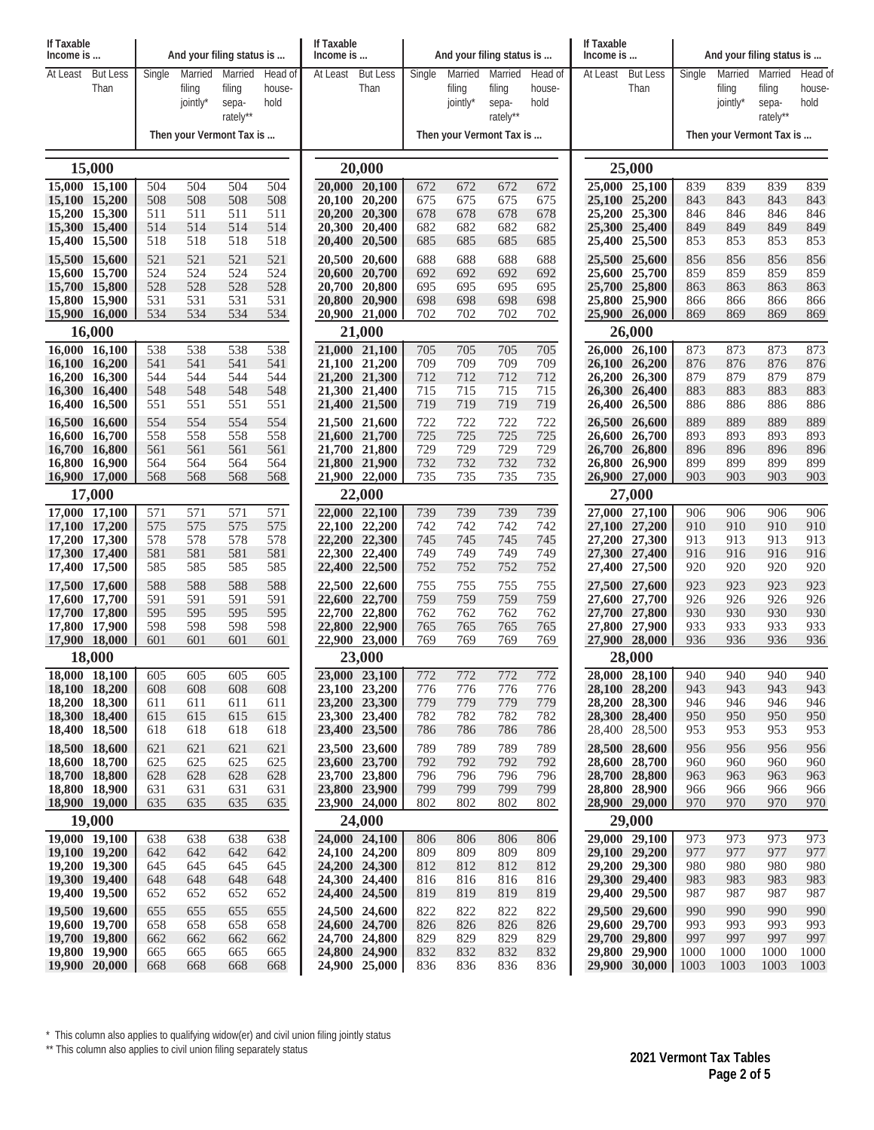| If Taxable<br>Income is        |  |            |            | And your filing status is |            | If Taxable<br>Income is |                                |            | And your filing status is |                   |            | If Taxable<br>Income is                             |                                |            | And your filing status is |                   |            |  |
|--------------------------------|--|------------|------------|---------------------------|------------|-------------------------|--------------------------------|------------|---------------------------|-------------------|------------|-----------------------------------------------------|--------------------------------|------------|---------------------------|-------------------|------------|--|
| At Least<br><b>But Less</b>    |  | Single     | Married    | Married                   | Head of    | At Least                | <b>But Less</b>                | Single     | Married                   | Married           | Head of    | At Least                                            | <b>But Less</b>                | Single     | Married                   | Married           | Head of    |  |
| Than                           |  |            | filing     | filing                    | house-     |                         | Than                           |            | filing                    | filing            | house-     |                                                     | Than                           |            | filing                    | filing            | house-     |  |
|                                |  |            | jointly*   | sepa-<br>rately**         | hold       |                         |                                |            | jointly*                  | sepa-<br>rately** | hold       |                                                     |                                |            | jointly*                  | sepa-<br>rately** | hold       |  |
|                                |  |            |            | Then your Vermont Tax is  |            |                         |                                |            | Then your Vermont Tax is  |                   |            |                                                     |                                |            | Then your Vermont Tax is  |                   |            |  |
| 15,000                         |  |            |            |                           |            |                         | 20,000                         |            |                           |                   |            |                                                     | 25,000                         |            |                           |                   |            |  |
| 15,000 15,100                  |  | 504        | 504        | 504                       | 504        |                         | 20,000 20,100                  | 672        | 672                       | 672               | 672        |                                                     | 25,000 25,100                  | 839        | 839                       | 839               | 839        |  |
| 15,100 15,200                  |  | 508        | 508        | 508                       | 508        |                         | 20,100 20,200                  | 675        | 675                       | 675               | 675        |                                                     | 25,100 25,200                  | 843        | 843                       | 843               | 843        |  |
| 15.200 15.300<br>15,300 15,400 |  | 511<br>514 | 511<br>514 | 511<br>514                | 511<br>514 |                         | 20,200 20,300<br>20,300 20,400 | 678<br>682 | 678<br>682                | 678<br>682        | 678<br>682 |                                                     | 25,200 25,300<br>25,300 25,400 | 846<br>849 | 846<br>849                | 846<br>849        | 846<br>849 |  |
| 15,400 15,500                  |  | 518        | 518        | 518                       | 518        |                         | 20,400 20,500                  | 685        | 685                       | 685               | 685        |                                                     | 25,400 25,500                  | 853        | 853                       | 853               | 853        |  |
| 15,500 15,600                  |  | 521        | 521        | 521                       | 521        |                         | 20,500 20,600                  | 688        | 688                       | 688               | 688        |                                                     | 25,500 25,600                  | 856        | 856                       | 856               | 856        |  |
| 15,600 15,700                  |  | 524        | 524        | 524                       | 524        |                         | 20,600 20,700                  | 692        | 692                       | 692               | 692        |                                                     | 25,600 25,700                  | 859        | 859                       | 859               | 859        |  |
| 15,700 15,800                  |  | 528        | 528        | 528                       | 528        |                         | 20,700 20,800                  | 695        | 695                       | 695               | 695        |                                                     | 25,700 25,800                  | 863        | 863                       | 863               | 863        |  |
| 15,800 15,900<br>15,900 16,000 |  | 531<br>534 | 531<br>534 | 531<br>534                | 531<br>534 |                         | 20,800 20,900<br>20,900 21,000 | 698<br>702 | 698<br>702                | 698<br>702        | 698<br>702 |                                                     | 25,800 25,900<br>25,900 26,000 | 866<br>869 | 866<br>869                | 866<br>869        | 866<br>869 |  |
| 16,000                         |  |            |            |                           |            |                         | 21,000                         |            |                           |                   |            |                                                     | 26,000                         |            |                           |                   |            |  |
| 16,000 16,100                  |  | 538        | 538        | 538                       | 538        |                         | 21,000 21,100                  | 705        | 705                       | 705               | 705        |                                                     | 26,000 26,100                  | 873        | 873                       | 873               | 873        |  |
| 16,100 16,200                  |  | 541        | 541        | 541                       | 541        |                         | 21,100 21,200                  | 709        | 709                       | 709               | 709        |                                                     | 26,100 26,200                  | 876        | 876                       | 876               | 876        |  |
| 16,200 16,300<br>16,300 16,400 |  | 544<br>548 | 544<br>548 | 544<br>548                | 544<br>548 |                         | 21,200 21,300<br>21,300 21,400 | 712<br>715 | 712<br>715                | 712<br>715        | 712<br>715 |                                                     | 26,200 26,300<br>26,300 26,400 | 879<br>883 | 879<br>883                | 879<br>883        | 879<br>883 |  |
| 16,400 16,500                  |  | 551        | 551        | 551                       | 551        |                         | 21,400 21,500                  | 719        | 719                       | 719               | 719        |                                                     | 26,400 26,500                  | 886        | 886                       | 886               | 886        |  |
| 16.500 16.600                  |  | 554        | 554        | 554                       | 554        |                         | 21,500 21,600                  | 722        | 722                       | 722               | 722        |                                                     | 26,500 26,600                  | 889        | 889                       | 889               | 889        |  |
| 16,600 16,700                  |  | 558        | 558        | 558                       | 558        |                         | 21,600 21,700                  | 725        | 725                       | 725               | 725        |                                                     | 26,600 26,700                  | 893        | 893                       | 893               | 893        |  |
| 16,700 16,800                  |  | 561        | 561        | 561                       | 561        |                         | 21,700 21,800                  | 729        | 729                       | 729               | 729        |                                                     | 26,700 26,800                  | 896        | 896                       | 896               | 896        |  |
| 16,800 16,900<br>16,900 17,000 |  | 564<br>568 | 564<br>568 | 564<br>568                | 564<br>568 |                         | 21,800 21,900<br>21,900 22,000 | 732<br>735 | 732<br>735                | 732<br>735        | 732<br>735 |                                                     | 26,800 26,900<br>26,900 27,000 | 899<br>903 | 899<br>903                | 899<br>903        | 899<br>903 |  |
| 17,000                         |  |            |            |                           | 22,000     |                         |                                |            |                           |                   | 27,000     |                                                     |                                |            |                           |                   |            |  |
| 17,000 17,100                  |  | 571        | 571        | 571                       | 571        |                         | 22,000 22,100                  | 739        | 739                       | 739               | 739        |                                                     | 27,000 27,100                  | 906        | 906                       | 906               | 906        |  |
| 17,100 17,200                  |  | 575        | 575        | 575                       | 575        |                         | 22,100 22,200                  | 742        | 742                       | 742               | 742        |                                                     | 27,100 27,200                  | 910        | 910                       | 910               | 910        |  |
| 17,200 17,300                  |  | 578        | 578        | 578                       | 578        |                         | 22,200 22,300                  | 745        | 745                       | 745               | 745        |                                                     | 27,200 27,300                  | 913        | 913                       | 913               | 913        |  |
| 17,300 17,400<br>17,400 17,500 |  | 581<br>585 | 581<br>585 | 581<br>585                | 581<br>585 |                         | 22,300 22,400<br>22,400 22,500 | 749<br>752 | 749<br>752                | 749<br>752        | 749<br>752 |                                                     | 27,300 27,400<br>27,400 27,500 | 916<br>920 | 916<br>920                | 916<br>920        | 916<br>920 |  |
| 17,500 17,600                  |  | 588        | 588        | 588                       | 588        |                         | 22,500 22,600                  | 755        | 755                       | 755               | 755        |                                                     | 27,500 27,600                  | 923        | 923                       | 923               | 923        |  |
| 17,600 17,700                  |  | 591        | 591        | 591                       | 591        |                         | 22,600 22,700                  | 759        | 759                       | 759               | 759        |                                                     | 27,600 27,700                  | 926        | 926                       | 926               | 926        |  |
| 17,700 17,800                  |  | 595        | 595        | 595                       | 595        |                         | 22,700 22,800                  | 762        | 762                       | 762               | 762        |                                                     | 27,700 27,800                  | 930        | 930                       | 930               | 930        |  |
| 17,800 17,900<br>17,900 18,000 |  | 598<br>601 | 598<br>601 | 598<br>601                | 598<br>601 |                         | 22,800 22,900<br>22,900 23,000 | 765<br>769 | 765<br>769                | 765<br>769        | 765<br>769 |                                                     | 27,800 27,900                  | 933        | 933                       | 933               | 933        |  |
| 18,000                         |  |            |            |                           |            |                         | 23,000                         |            |                           |                   |            | 936<br>936<br>936<br>27,900 28,000<br>936<br>28,000 |                                |            |                           |                   |            |  |
| 18,000 18,100                  |  | 605        | 605        | 605                       | 605        |                         | 23,000 23,100                  | 772        | 772                       | 772               | 772        |                                                     | 28,000 28,100                  | 940        | 940                       | 940               | 940        |  |
| 18,100 18,200                  |  | 608        | 608        | 608                       | 608        |                         | 23,100 23,200                  | 776        | 776                       | 776               | 776        |                                                     | 28,100 28,200                  | 943        | 943                       | 943               | 943        |  |
| 18,200 18,300                  |  | 611        | 611        | 611                       | 611        |                         | 23,200 23,300                  | 779        | 779                       | 779               | 779        |                                                     | 28,200 28,300                  | 946        | 946                       | 946               | 946        |  |
| 18,300 18,400<br>18,400 18,500 |  | 615<br>618 | 615<br>618 | 615<br>618                | 615<br>618 |                         | 23,300 23,400<br>23,400 23,500 | 782<br>786 | 782<br>786                | 782<br>786        | 782<br>786 |                                                     | 28,300 28,400<br>28,400 28,500 | 950<br>953 | 950<br>953                | 950<br>953        | 950<br>953 |  |
| 18,500 18,600                  |  | 621        | 621        | 621                       | 621        |                         | 23,500 23,600                  | 789        | 789                       | 789               | 789        |                                                     | 28,500 28,600                  | 956        | 956                       | 956               | 956        |  |
| 18,600 18,700                  |  | 625        | 625        | 625                       | 625        |                         | 23,600 23,700                  | 792        | 792                       | 792               | 792        |                                                     | 28,600 28,700                  | 960        | 960                       | 960               | 960        |  |
| 18,700 18,800                  |  | 628        | 628        | 628                       | 628        |                         | 23,700 23,800                  | 796        | 796                       | 796               | 796        |                                                     | 28,700 28,800                  | 963        | 963                       | 963               | 963        |  |
| 18,800 18,900<br>18,900 19,000 |  | 631<br>635 | 631<br>635 | 631<br>635                | 631        |                         | 23,800 23,900                  | 799<br>802 | 799                       | 799               | 799        |                                                     | 28,800 28,900<br>28,900 29,000 | 966<br>970 | 966<br>970                | 966<br>970        | 966<br>970 |  |
| 19,000                         |  |            |            |                           | 635        |                         | 23,900 24,000<br>24,000        |            | 802                       | 802               | 802        |                                                     | 29,000                         |            |                           |                   |            |  |
| 19,000 19,100                  |  | 638        | 638        | 638                       | 638        |                         | 24,000 24,100                  | 806        | 806                       | 806               | 806        |                                                     | 29,000 29,100                  | 973        | 973                       | 973               | 973        |  |
| 19,100 19,200                  |  | 642        | 642        | 642                       | 642        |                         | 24,100 24,200                  | 809        | 809                       | 809               | 809        |                                                     | 29,100 29,200                  | 977        | 977                       | 977               | 977        |  |
| 19,200 19,300                  |  | 645        | 645        | 645                       | 645        |                         | 24,200 24,300                  | 812        | 812                       | 812               | 812        |                                                     | 29,200 29,300                  | 980        | 980                       | 980               | 980        |  |
| 19,300 19,400<br>19,400 19,500 |  | 648<br>652 | 648<br>652 | 648<br>652                | 648<br>652 |                         | 24,300 24,400<br>24,400 24,500 | 816<br>819 | 816<br>819                | 816<br>819        | 816<br>819 |                                                     | 29,300 29,400<br>29,400 29,500 | 983<br>987 | 983<br>987                | 983<br>987        | 983<br>987 |  |
| 19,500 19,600                  |  | 655        | 655        | 655                       | 655        |                         | 24,500 24,600                  | 822        | 822                       | 822               | 822        |                                                     | 29,500 29,600                  | 990        | 990                       | 990               | 990        |  |
| 19,600 19,700                  |  | 658        | 658        | 658                       | 658        |                         | 24,600 24,700                  | 826        | 826                       | 826               | 826        |                                                     | 29,600 29,700                  | 993        | 993                       | 993               | 993        |  |
| 19,700 19,800                  |  | 662        | 662        | 662                       | 662        |                         | 24,700 24,800                  | 829        | 829                       | 829               | 829        |                                                     | 29,700 29,800                  | 997        | 997                       | 997               | 997        |  |
| 19,800 19,900                  |  | 665        | 665        | 665                       | 665        |                         | 24,800 24,900                  | 832        | 832                       | 832               | 832        |                                                     | 29,800 29,900                  | 1000       | 1000                      | 1000              | 1000       |  |
| 19,900 20,000                  |  | 668        | 668        | 668                       | 668        |                         | 24,900 25,000                  | 836        | 836                       | 836               | 836        |                                                     | $29,900$ 30,000                | 1003       | 1003                      | 1003              | 1003       |  |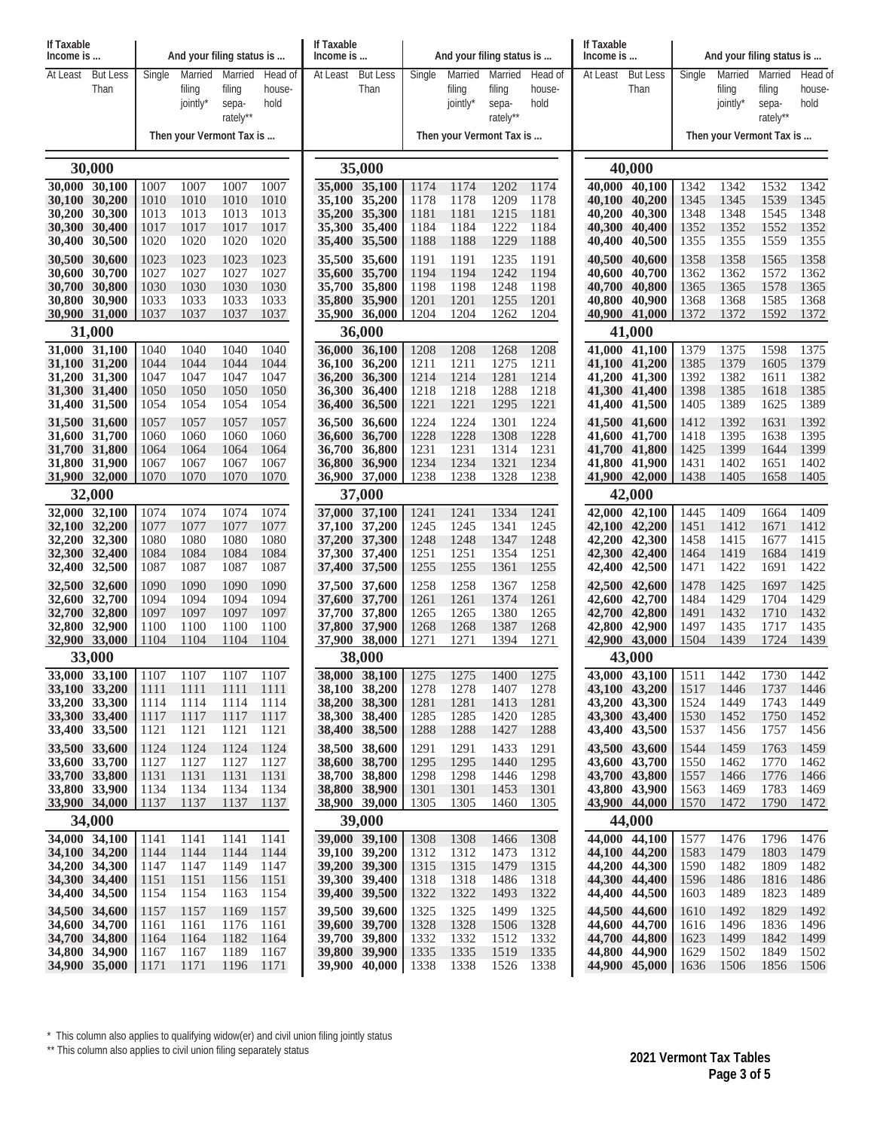| And your filing status is<br>Married<br>At Least<br><b>But Less</b><br>Single<br>Married<br>Married<br>Head of<br>At Least<br><b>But Less</b><br>Single<br>Married<br>Married<br>Head of<br>At Least<br><b>But Less</b><br>Single<br>Married<br>Than<br>Than<br>Than<br>filing<br>filing<br>filing<br>filing<br>house-<br>filing<br>filing<br>house-<br>house-<br>hold<br>hold<br>jointly*<br>hold<br>jointly*<br>jointly*<br>sepa-<br>sepa-<br>sepa-<br>rately**<br>rately**<br>rately**<br>Then your Vermont Tax is<br>Then your Vermont Tax is<br>Then your Vermont Tax is<br>30,000<br>35,000<br>40,000<br>30,000 30,100<br>1007<br>1007<br>1007<br>35,000 35,100<br>1174<br>1174<br>40,000 40,100<br>1342<br>1342<br>1532<br>1342<br>1007<br>1174<br>1202<br>35,100 35,200<br>1178<br>40,100 40,200<br>1345<br>1539<br>1345<br>30,100 30,200<br>1010<br>1010<br>1010<br>1010<br>1178<br>1209<br>1178<br>1345<br>30,200<br>30,300<br>1013<br>1013<br>1013<br>1013<br>1181<br>1215<br>40,200<br>40,300<br>1348<br>1348<br>1545<br>1348<br>35,200 35,300<br>1181<br>1181<br>1184<br>30,300<br>30,400<br>1017<br>1017<br>1017<br>1017<br>35,300 35,400<br>1184<br>1222<br>1184<br>40,300<br>40,400<br>1352<br>1352<br>1552<br>1352<br>1020<br>1188<br>1188<br>1229<br>1355<br>1559<br>1355<br>30,400 30,500<br>1020<br>1020<br>1020<br>35,400 35,500<br>1188<br>40,400<br>40,500<br>1355<br>30,500 30,600<br>1023<br>1023<br>1023<br>1023<br>35,500 35,600<br>1191<br>1191<br>40,600<br>1358<br>1358<br>1358<br>1235<br>1191<br>40,500<br>1565<br>30,600 30,700<br>1027<br>1027<br>1027<br>1027<br>1194<br>1194<br>1242<br>1194<br>40,700<br>1362<br>1572<br>1362<br>35,600 35,700<br>40,600<br>1362<br>30,700<br>30,800<br>1030<br>1030<br>1030<br>1030<br>35,700 35,800<br>1198<br>1198<br>1248<br>1198<br>40,700<br>40,800<br>1365<br>1365<br>1578<br>1365<br>30,800 30,900<br>1033<br>1033<br>1033<br>1033<br>35,800 35,900<br>1201<br>1201<br>1255<br>1201<br>40,800<br>40,900<br>1368<br>1368<br>1585<br>1368<br>1204<br>30,900 31,000<br>1037<br>1037<br>1037<br>1037<br>35,900 36,000<br>1204<br>1262<br>1204<br>40,900 41,000<br>1372<br>1372<br>1592<br>1372<br>31,000<br>36,000<br>41,000<br>1375<br>31,000 31,100<br>1040<br>1040<br>1040<br>36,000 36,100<br>1208<br>41,100<br>1379<br>1375<br>1598<br>1040<br>1208<br>1208<br>1268<br>41.000<br>1044<br>1379<br>1379<br>31,100 31,200<br>1044<br>1044<br>1044<br>36,100 36,200<br>1211<br>1275<br>1211<br>41,100 41,200<br>1385<br>1605<br>1211<br>1382<br>31.200 31.300<br>1047<br>1047<br>1047<br>1047<br>36,200 36,300<br>1214<br>1214<br>1281<br>1214<br>41,200 41,300<br>1392<br>1611<br>1382<br>1050<br>1050<br>1050<br>1218<br>1288<br>1218<br>41,300 41,400<br>1385<br>1385<br>31,300 31,400<br>1050<br>36,300 36,400<br>1218<br>1398<br>1618<br>1054<br>1221<br>1221<br>1221<br>1389<br>1389<br>31,400 31,500<br>1054<br>1054<br>1054<br>36,400 36,500<br>1295<br>41,400 41,500<br>1405<br>1625<br>31,500 31,600<br>1057<br>1057<br>1057<br>36,500 36,600<br>1224<br>1224<br>1301<br>1224<br>41,500 41,600<br>1412<br>1392<br>1631<br>1392<br>1057<br>1228<br>1228<br>1228<br>1395<br>31,600 31,700<br>1060<br>1060<br>1060<br>1308<br>41,600 41,700<br>1418<br>1395<br>1638<br>1060<br>36,600 36,700<br>1231<br>1231<br>1231<br>1399<br>1399<br>31,700 31,800<br>1064<br>1064<br>1064<br>1064<br>36,700 36,800<br>1314<br>41,700 41,800<br>1425<br>1644<br>1234<br>1234<br>31,800 31,900<br>1067<br>1067<br>1067<br>1067<br>36,800 36,900<br>1321<br>1234<br>41,800 41,900<br>1431<br>1402<br>1651<br>1402<br>1238<br>1328<br>31,900 32,000<br>1070<br>1070<br>1070<br>1070<br>36,900 37,000<br>1238<br>1238<br>41,900 42,000<br>1405<br>1658<br>1405<br>1438<br>32,000<br>37,000<br>42,000<br>32,000 32,100<br>1074<br>1074<br>1074<br>1074<br>37,000 37,100<br>1334<br>1241<br>42,000 42,100<br>1445<br>1409<br>1409<br>1241<br>1241<br>1664<br>32,100 32,200<br>42,100 42,200<br>1412<br>1077<br>1077<br>1077<br>1077<br>37,100 37,200<br>1245<br>1245<br>1341<br>1245<br>1451<br>1671<br>1412<br>32,200 32,300<br>1080<br>1080<br>1080<br>1080<br>37,200 37,300<br>1248<br>1248<br>1347<br>1248<br>42,200<br>42,300<br>1458<br>1415<br>1415<br>1677<br>1084<br>1084<br>1084<br>1251<br>1251<br>1684<br>32,300 32,400<br>1084<br>37,300 37,400<br>1354<br>1251<br>42,300<br>42,400<br>1464<br>1419<br>1419<br>1087<br>1087<br>1255<br>1255<br>1255<br>1422<br>32,400 32,500<br>1087<br>1087<br>37,400 37,500<br>1361<br>42,400<br>42,500<br>1471<br>1422<br>1691<br>32,500 32,600<br>1090<br>1090<br>1090<br>37,500 37,600<br>1258<br>1258<br>42,500 42,600<br>1478<br>1425<br>1425<br>1090<br>1258<br>1367<br>1697<br>32,600 32,700<br>1094<br>1094<br>1094<br>1094<br>37,600 37,700<br>1261<br>1261<br>1374<br>1261<br>42,600 42,700<br>1484<br>1429<br>1704<br>1429<br>1265<br>1432<br>32,700 32,800<br>1097<br>1097<br>1097<br>1097<br>37,700 37,800<br>1265<br>1265<br>1380<br>42,700<br>42,800<br>1491<br>1710<br>1432<br>1268<br>32,800 32,900<br>1100<br>1100<br>1100<br>1100<br>37,800 37,900<br>1268<br>1387<br>1268<br>42,800 42,900<br>1497<br>1435<br>1717<br>1435<br>1271<br>32,900 33,000<br>1104<br>37,900 38,000<br>1271<br>1394<br>1271<br>42,900<br>43,000<br>1504<br>1439<br>1724<br>1439<br>1104<br>1104<br>1104<br>33,000<br>38,000<br>43,000<br>38,000 38,100<br>33,000 33,100<br>  1107<br>1107<br>1275<br>1275<br>43,000 43,100<br>1511<br>1442<br>1442<br>1107<br>1107<br>1275<br>1400<br>1730<br>33,100 33,200<br>38,100 38,200<br>43,100 43,200<br>1111<br>1111<br>1111<br>1278<br>1278<br>1407<br>1278<br>1517<br>1446<br>1737<br>1446<br>1111<br>33,200 33,300<br>38,200 38,300<br>43,200 43,300<br>1114<br>1114<br>1114<br>1281<br>1281<br>1413<br>1281<br>1524<br>1449<br>1743<br>1449<br>1114<br>33,300 33,400<br>38,300 38,400<br>1285<br>43,300 43,400<br>1750<br>1117<br>1117<br>1117<br>1117<br>1285<br>1285<br>1420<br>1530<br>1452<br>1452<br>33,400 33,500<br>1121<br>1121<br>1121<br>1121<br>38,400 38,500<br>1288<br>1288<br>1427<br>43,400 43,500<br>1537<br>1456<br>1757<br>1456<br>1288<br>38,500 38,600<br>33,500 33,600<br>1124<br>1124<br>43,500 43,600<br>1124<br>1124<br>1291<br>1291<br>1433<br>1291<br>1544<br>1459<br>1763<br>1459<br>33,600 33,700<br>1127<br>1127<br>1127<br>1127<br>38,600 38,700<br>1295<br>1295<br>1440<br>1295<br>43,600 43,700<br>1550<br>1462<br>1770<br>1462<br>33,700 33,800<br>1131<br>1131<br>38,700 38,800<br>1298<br>43,700 43,800<br>1131<br>1131<br>1298<br>1298<br>1446<br>1557<br>1466<br>1776<br>1466<br>1783<br>33,800 33,900<br>1134<br>1134<br>1134<br>1134<br>38,800 38,900<br>1301<br>1301<br>1453<br>1301<br>43,800 43,900<br>1563<br>1469<br>1469<br>33,900 34,000<br>38,900 39,000<br>43,900 44,000<br>1137<br>1137<br>1137<br>1137<br>1305<br>1305<br>1460<br>1305<br>1570<br>1472<br>1790<br>1472<br>34,000<br>39,000<br>44,000<br>34,000 34,100<br>39,000 39,100<br>1308<br>44,000 44,100<br>1476<br>1141<br>1141<br>1141<br>1141<br>1308<br>1308<br>1466<br>1577<br>1476<br>1796<br>44,100 44,200<br>34,100 34,200<br>1144<br>1144<br>1144<br>1144<br>39,100 39,200<br>1312<br>1312<br>1473<br>1312<br>1583<br>1479<br>1803<br>1479<br>34,200 34,300<br>1149<br>39,200 39,300<br>1315<br>1315<br>1315<br>44,200 44,300<br>1590<br>1482<br>1809<br>1147<br>1147<br>1147<br>1479<br>1482<br>1486<br>44,300 44,400<br>34,300 34,400<br>1151<br>1151<br>1156<br>1151<br>39,300 39,400<br>1318<br>1318<br>1318<br>1596<br>1486<br>1816<br>1486<br>1322<br>44,400 44,500<br>34,400 34,500<br>1154<br>1154<br>1163<br>1154<br>39,400 39,500<br>1322<br>1493<br>1322<br>1489<br>1823<br>1489<br>1603<br>34,500 34,600<br>39,500 39,600<br>1325<br>44,500 44,600<br>1157<br>1169<br>1157<br>1325<br>1325<br>1499<br>1610<br>1492<br>1829<br>1492<br>1157<br>1328<br>34,600 34,700<br>1161<br>1176<br>39,600 39,700<br>1328<br>1506<br>1328<br>44,600 44,700<br>1496<br>1836<br>1161<br>1161<br>1616<br>1496<br>34,700 34,800<br>1182<br>44,700 44,800<br>1842<br>1164<br>1164<br>1164<br>39,700 39,800<br>1332<br>1332<br>1512<br>1332<br>1623<br>1499<br>1499<br>44,800 44,900<br>34,800 34,900<br>1167<br>1167<br>1189<br>1167<br>39,800 39,900<br>1335<br>1335<br>1519<br>1335<br>1629<br>1502<br>1849<br>1502<br>44,900 45,000<br>34,900 35,000<br> 1171<br>1171<br>1196<br>39,900 40,000<br>1338<br>1338<br>1526<br>1338<br>1506<br>1856<br>1506<br>1171<br>1636 | If Taxable<br>Income is |  | And your filing status is |  |  |  | If Taxable<br>Income is | If Taxable<br>Income is |  | And your filing status is |  |  |  |  |  |  |  |         |  |  |  |
|----------------------------------------------------------------------------------------------------------------------------------------------------------------------------------------------------------------------------------------------------------------------------------------------------------------------------------------------------------------------------------------------------------------------------------------------------------------------------------------------------------------------------------------------------------------------------------------------------------------------------------------------------------------------------------------------------------------------------------------------------------------------------------------------------------------------------------------------------------------------------------------------------------------------------------------------------------------------------------------------------------------------------------------------------------------------------------------------------------------------------------------------------------------------------------------------------------------------------------------------------------------------------------------------------------------------------------------------------------------------------------------------------------------------------------------------------------------------------------------------------------------------------------------------------------------------------------------------------------------------------------------------------------------------------------------------------------------------------------------------------------------------------------------------------------------------------------------------------------------------------------------------------------------------------------------------------------------------------------------------------------------------------------------------------------------------------------------------------------------------------------------------------------------------------------------------------------------------------------------------------------------------------------------------------------------------------------------------------------------------------------------------------------------------------------------------------------------------------------------------------------------------------------------------------------------------------------------------------------------------------------------------------------------------------------------------------------------------------------------------------------------------------------------------------------------------------------------------------------------------------------------------------------------------------------------------------------------------------------------------------------------------------------------------------------------------------------------------------------------------------------------------------------------------------------------------------------------------------------------------------------------------------------------------------------------------------------------------------------------------------------------------------------------------------------------------------------------------------------------------------------------------------------------------------------------------------------------------------------------------------------------------------------------------------------------------------------------------------------------------------------------------------------------------------------------------------------------------------------------------------------------------------------------------------------------------------------------------------------------------------------------------------------------------------------------------------------------------------------------------------------------------------------------------------------------------------------------------------------------------------------------------------------------------------------------------------------------------------------------------------------------------------------------------------------------------------------------------------------------------------------------------------------------------------------------------------------------------------------------------------------------------------------------------------------------------------------------------------------------------------------------------------------------------------------------------------------------------------------------------------------------------------------------------------------------------------------------------------------------------------------------------------------------------------------------------------------------------------------------------------------------------------------------------------------------------------------------------------------------------------------------------------------------------------------------------------------------------------------------------------------------------------------------------------------------------------------------------------------------------------------------------------------------------------------------------------------------------------------------------------------------------------------------------------------------------------------------------------------------------------------------------------------------------------------------------------------------------------------------------------------------------------------------------------------------------------------------------------------------------------------------------------------------------------------------------------------------------------------------------------------------------------------------------------------------------------------------------------------------------------------------------------------------------------------------------------------------------------------------------------------------------------------------------------------------------------------------------------------------------------------------------------------------------------------------------------------------------------------------------------------------------------------------------------------------------------------------------------------------------------------------------------------------------------------------------------------------------------------------------------------------------------------------------------------------------------------------------------------------------------------------------------------------------------------------------------------------------------------------------------------------------------------------------------------------------------------------------------------------------------------------------------------------------------------------------------------------------------------------------------------------------------------------------------------------------------------------------------------------------------------------------------------------------------------------------------------------------------------------------------------------------------------------------------------------------------------------------------------------------------------------------------------------------------------------------------------------------------------------------------------------------------------------------------------------------------------------------------------------------------------------------------------------------------------------------------------------------------------------------------------------------------------------------------------------------------------------------------------------------------------------------------------------------------------------------------------------------------------------------------------------------------------------------------------------------|-------------------------|--|---------------------------|--|--|--|-------------------------|-------------------------|--|---------------------------|--|--|--|--|--|--|--|---------|--|--|--|
|                                                                                                                                                                                                                                                                                                                                                                                                                                                                                                                                                                                                                                                                                                                                                                                                                                                                                                                                                                                                                                                                                                                                                                                                                                                                                                                                                                                                                                                                                                                                                                                                                                                                                                                                                                                                                                                                                                                                                                                                                                                                                                                                                                                                                                                                                                                                                                                                                                                                                                                                                                                                                                                                                                                                                                                                                                                                                                                                                                                                                                                                                                                                                                                                                                                                                                                                                                                                                                                                                                                                                                                                                                                                                                                                                                                                                                                                                                                                                                                                                                                                                                                                                                                                                                                                                                                                                                                                                                                                                                                                                                                                                                                                                                                                                                                                                                                                                                                                                                                                                                                                                                                                                                                                                                                                                                                                                                                                                                                                                                                                                                                                                                                                                                                                                                                                                                                                                                                                                                                                                                                                                                                                                                                                                                                                                                                                                                                                                                                                                                                                                                                                                                                                                                                                                                                                                                                                                                                                                                                                                                                                                                                                                                                                                                                                                                                                                                                                                                                                                                                                                                                                                                                                                                                                                                                                                                                                                                                                                                                                                                                                                                                                                                                                                                                                                                                                                                                                                                              |                         |  |                           |  |  |  |                         |                         |  |                           |  |  |  |  |  |  |  | Head of |  |  |  |
|                                                                                                                                                                                                                                                                                                                                                                                                                                                                                                                                                                                                                                                                                                                                                                                                                                                                                                                                                                                                                                                                                                                                                                                                                                                                                                                                                                                                                                                                                                                                                                                                                                                                                                                                                                                                                                                                                                                                                                                                                                                                                                                                                                                                                                                                                                                                                                                                                                                                                                                                                                                                                                                                                                                                                                                                                                                                                                                                                                                                                                                                                                                                                                                                                                                                                                                                                                                                                                                                                                                                                                                                                                                                                                                                                                                                                                                                                                                                                                                                                                                                                                                                                                                                                                                                                                                                                                                                                                                                                                                                                                                                                                                                                                                                                                                                                                                                                                                                                                                                                                                                                                                                                                                                                                                                                                                                                                                                                                                                                                                                                                                                                                                                                                                                                                                                                                                                                                                                                                                                                                                                                                                                                                                                                                                                                                                                                                                                                                                                                                                                                                                                                                                                                                                                                                                                                                                                                                                                                                                                                                                                                                                                                                                                                                                                                                                                                                                                                                                                                                                                                                                                                                                                                                                                                                                                                                                                                                                                                                                                                                                                                                                                                                                                                                                                                                                                                                                                                                              |                         |  |                           |  |  |  |                         |                         |  |                           |  |  |  |  |  |  |  |         |  |  |  |
|                                                                                                                                                                                                                                                                                                                                                                                                                                                                                                                                                                                                                                                                                                                                                                                                                                                                                                                                                                                                                                                                                                                                                                                                                                                                                                                                                                                                                                                                                                                                                                                                                                                                                                                                                                                                                                                                                                                                                                                                                                                                                                                                                                                                                                                                                                                                                                                                                                                                                                                                                                                                                                                                                                                                                                                                                                                                                                                                                                                                                                                                                                                                                                                                                                                                                                                                                                                                                                                                                                                                                                                                                                                                                                                                                                                                                                                                                                                                                                                                                                                                                                                                                                                                                                                                                                                                                                                                                                                                                                                                                                                                                                                                                                                                                                                                                                                                                                                                                                                                                                                                                                                                                                                                                                                                                                                                                                                                                                                                                                                                                                                                                                                                                                                                                                                                                                                                                                                                                                                                                                                                                                                                                                                                                                                                                                                                                                                                                                                                                                                                                                                                                                                                                                                                                                                                                                                                                                                                                                                                                                                                                                                                                                                                                                                                                                                                                                                                                                                                                                                                                                                                                                                                                                                                                                                                                                                                                                                                                                                                                                                                                                                                                                                                                                                                                                                                                                                                                                              |                         |  |                           |  |  |  |                         |                         |  |                           |  |  |  |  |  |  |  |         |  |  |  |
|                                                                                                                                                                                                                                                                                                                                                                                                                                                                                                                                                                                                                                                                                                                                                                                                                                                                                                                                                                                                                                                                                                                                                                                                                                                                                                                                                                                                                                                                                                                                                                                                                                                                                                                                                                                                                                                                                                                                                                                                                                                                                                                                                                                                                                                                                                                                                                                                                                                                                                                                                                                                                                                                                                                                                                                                                                                                                                                                                                                                                                                                                                                                                                                                                                                                                                                                                                                                                                                                                                                                                                                                                                                                                                                                                                                                                                                                                                                                                                                                                                                                                                                                                                                                                                                                                                                                                                                                                                                                                                                                                                                                                                                                                                                                                                                                                                                                                                                                                                                                                                                                                                                                                                                                                                                                                                                                                                                                                                                                                                                                                                                                                                                                                                                                                                                                                                                                                                                                                                                                                                                                                                                                                                                                                                                                                                                                                                                                                                                                                                                                                                                                                                                                                                                                                                                                                                                                                                                                                                                                                                                                                                                                                                                                                                                                                                                                                                                                                                                                                                                                                                                                                                                                                                                                                                                                                                                                                                                                                                                                                                                                                                                                                                                                                                                                                                                                                                                                                                              |                         |  |                           |  |  |  |                         |                         |  |                           |  |  |  |  |  |  |  |         |  |  |  |
|                                                                                                                                                                                                                                                                                                                                                                                                                                                                                                                                                                                                                                                                                                                                                                                                                                                                                                                                                                                                                                                                                                                                                                                                                                                                                                                                                                                                                                                                                                                                                                                                                                                                                                                                                                                                                                                                                                                                                                                                                                                                                                                                                                                                                                                                                                                                                                                                                                                                                                                                                                                                                                                                                                                                                                                                                                                                                                                                                                                                                                                                                                                                                                                                                                                                                                                                                                                                                                                                                                                                                                                                                                                                                                                                                                                                                                                                                                                                                                                                                                                                                                                                                                                                                                                                                                                                                                                                                                                                                                                                                                                                                                                                                                                                                                                                                                                                                                                                                                                                                                                                                                                                                                                                                                                                                                                                                                                                                                                                                                                                                                                                                                                                                                                                                                                                                                                                                                                                                                                                                                                                                                                                                                                                                                                                                                                                                                                                                                                                                                                                                                                                                                                                                                                                                                                                                                                                                                                                                                                                                                                                                                                                                                                                                                                                                                                                                                                                                                                                                                                                                                                                                                                                                                                                                                                                                                                                                                                                                                                                                                                                                                                                                                                                                                                                                                                                                                                                                                              |                         |  |                           |  |  |  |                         |                         |  |                           |  |  |  |  |  |  |  |         |  |  |  |
|                                                                                                                                                                                                                                                                                                                                                                                                                                                                                                                                                                                                                                                                                                                                                                                                                                                                                                                                                                                                                                                                                                                                                                                                                                                                                                                                                                                                                                                                                                                                                                                                                                                                                                                                                                                                                                                                                                                                                                                                                                                                                                                                                                                                                                                                                                                                                                                                                                                                                                                                                                                                                                                                                                                                                                                                                                                                                                                                                                                                                                                                                                                                                                                                                                                                                                                                                                                                                                                                                                                                                                                                                                                                                                                                                                                                                                                                                                                                                                                                                                                                                                                                                                                                                                                                                                                                                                                                                                                                                                                                                                                                                                                                                                                                                                                                                                                                                                                                                                                                                                                                                                                                                                                                                                                                                                                                                                                                                                                                                                                                                                                                                                                                                                                                                                                                                                                                                                                                                                                                                                                                                                                                                                                                                                                                                                                                                                                                                                                                                                                                                                                                                                                                                                                                                                                                                                                                                                                                                                                                                                                                                                                                                                                                                                                                                                                                                                                                                                                                                                                                                                                                                                                                                                                                                                                                                                                                                                                                                                                                                                                                                                                                                                                                                                                                                                                                                                                                                                              |                         |  |                           |  |  |  |                         |                         |  |                           |  |  |  |  |  |  |  |         |  |  |  |
|                                                                                                                                                                                                                                                                                                                                                                                                                                                                                                                                                                                                                                                                                                                                                                                                                                                                                                                                                                                                                                                                                                                                                                                                                                                                                                                                                                                                                                                                                                                                                                                                                                                                                                                                                                                                                                                                                                                                                                                                                                                                                                                                                                                                                                                                                                                                                                                                                                                                                                                                                                                                                                                                                                                                                                                                                                                                                                                                                                                                                                                                                                                                                                                                                                                                                                                                                                                                                                                                                                                                                                                                                                                                                                                                                                                                                                                                                                                                                                                                                                                                                                                                                                                                                                                                                                                                                                                                                                                                                                                                                                                                                                                                                                                                                                                                                                                                                                                                                                                                                                                                                                                                                                                                                                                                                                                                                                                                                                                                                                                                                                                                                                                                                                                                                                                                                                                                                                                                                                                                                                                                                                                                                                                                                                                                                                                                                                                                                                                                                                                                                                                                                                                                                                                                                                                                                                                                                                                                                                                                                                                                                                                                                                                                                                                                                                                                                                                                                                                                                                                                                                                                                                                                                                                                                                                                                                                                                                                                                                                                                                                                                                                                                                                                                                                                                                                                                                                                                                              |                         |  |                           |  |  |  |                         |                         |  |                           |  |  |  |  |  |  |  |         |  |  |  |
|                                                                                                                                                                                                                                                                                                                                                                                                                                                                                                                                                                                                                                                                                                                                                                                                                                                                                                                                                                                                                                                                                                                                                                                                                                                                                                                                                                                                                                                                                                                                                                                                                                                                                                                                                                                                                                                                                                                                                                                                                                                                                                                                                                                                                                                                                                                                                                                                                                                                                                                                                                                                                                                                                                                                                                                                                                                                                                                                                                                                                                                                                                                                                                                                                                                                                                                                                                                                                                                                                                                                                                                                                                                                                                                                                                                                                                                                                                                                                                                                                                                                                                                                                                                                                                                                                                                                                                                                                                                                                                                                                                                                                                                                                                                                                                                                                                                                                                                                                                                                                                                                                                                                                                                                                                                                                                                                                                                                                                                                                                                                                                                                                                                                                                                                                                                                                                                                                                                                                                                                                                                                                                                                                                                                                                                                                                                                                                                                                                                                                                                                                                                                                                                                                                                                                                                                                                                                                                                                                                                                                                                                                                                                                                                                                                                                                                                                                                                                                                                                                                                                                                                                                                                                                                                                                                                                                                                                                                                                                                                                                                                                                                                                                                                                                                                                                                                                                                                                                                              |                         |  |                           |  |  |  |                         |                         |  |                           |  |  |  |  |  |  |  |         |  |  |  |
|                                                                                                                                                                                                                                                                                                                                                                                                                                                                                                                                                                                                                                                                                                                                                                                                                                                                                                                                                                                                                                                                                                                                                                                                                                                                                                                                                                                                                                                                                                                                                                                                                                                                                                                                                                                                                                                                                                                                                                                                                                                                                                                                                                                                                                                                                                                                                                                                                                                                                                                                                                                                                                                                                                                                                                                                                                                                                                                                                                                                                                                                                                                                                                                                                                                                                                                                                                                                                                                                                                                                                                                                                                                                                                                                                                                                                                                                                                                                                                                                                                                                                                                                                                                                                                                                                                                                                                                                                                                                                                                                                                                                                                                                                                                                                                                                                                                                                                                                                                                                                                                                                                                                                                                                                                                                                                                                                                                                                                                                                                                                                                                                                                                                                                                                                                                                                                                                                                                                                                                                                                                                                                                                                                                                                                                                                                                                                                                                                                                                                                                                                                                                                                                                                                                                                                                                                                                                                                                                                                                                                                                                                                                                                                                                                                                                                                                                                                                                                                                                                                                                                                                                                                                                                                                                                                                                                                                                                                                                                                                                                                                                                                                                                                                                                                                                                                                                                                                                                                              |                         |  |                           |  |  |  |                         |                         |  |                           |  |  |  |  |  |  |  |         |  |  |  |
|                                                                                                                                                                                                                                                                                                                                                                                                                                                                                                                                                                                                                                                                                                                                                                                                                                                                                                                                                                                                                                                                                                                                                                                                                                                                                                                                                                                                                                                                                                                                                                                                                                                                                                                                                                                                                                                                                                                                                                                                                                                                                                                                                                                                                                                                                                                                                                                                                                                                                                                                                                                                                                                                                                                                                                                                                                                                                                                                                                                                                                                                                                                                                                                                                                                                                                                                                                                                                                                                                                                                                                                                                                                                                                                                                                                                                                                                                                                                                                                                                                                                                                                                                                                                                                                                                                                                                                                                                                                                                                                                                                                                                                                                                                                                                                                                                                                                                                                                                                                                                                                                                                                                                                                                                                                                                                                                                                                                                                                                                                                                                                                                                                                                                                                                                                                                                                                                                                                                                                                                                                                                                                                                                                                                                                                                                                                                                                                                                                                                                                                                                                                                                                                                                                                                                                                                                                                                                                                                                                                                                                                                                                                                                                                                                                                                                                                                                                                                                                                                                                                                                                                                                                                                                                                                                                                                                                                                                                                                                                                                                                                                                                                                                                                                                                                                                                                                                                                                                                              |                         |  |                           |  |  |  |                         |                         |  |                           |  |  |  |  |  |  |  |         |  |  |  |
|                                                                                                                                                                                                                                                                                                                                                                                                                                                                                                                                                                                                                                                                                                                                                                                                                                                                                                                                                                                                                                                                                                                                                                                                                                                                                                                                                                                                                                                                                                                                                                                                                                                                                                                                                                                                                                                                                                                                                                                                                                                                                                                                                                                                                                                                                                                                                                                                                                                                                                                                                                                                                                                                                                                                                                                                                                                                                                                                                                                                                                                                                                                                                                                                                                                                                                                                                                                                                                                                                                                                                                                                                                                                                                                                                                                                                                                                                                                                                                                                                                                                                                                                                                                                                                                                                                                                                                                                                                                                                                                                                                                                                                                                                                                                                                                                                                                                                                                                                                                                                                                                                                                                                                                                                                                                                                                                                                                                                                                                                                                                                                                                                                                                                                                                                                                                                                                                                                                                                                                                                                                                                                                                                                                                                                                                                                                                                                                                                                                                                                                                                                                                                                                                                                                                                                                                                                                                                                                                                                                                                                                                                                                                                                                                                                                                                                                                                                                                                                                                                                                                                                                                                                                                                                                                                                                                                                                                                                                                                                                                                                                                                                                                                                                                                                                                                                                                                                                                                                              |                         |  |                           |  |  |  |                         |                         |  |                           |  |  |  |  |  |  |  |         |  |  |  |
|                                                                                                                                                                                                                                                                                                                                                                                                                                                                                                                                                                                                                                                                                                                                                                                                                                                                                                                                                                                                                                                                                                                                                                                                                                                                                                                                                                                                                                                                                                                                                                                                                                                                                                                                                                                                                                                                                                                                                                                                                                                                                                                                                                                                                                                                                                                                                                                                                                                                                                                                                                                                                                                                                                                                                                                                                                                                                                                                                                                                                                                                                                                                                                                                                                                                                                                                                                                                                                                                                                                                                                                                                                                                                                                                                                                                                                                                                                                                                                                                                                                                                                                                                                                                                                                                                                                                                                                                                                                                                                                                                                                                                                                                                                                                                                                                                                                                                                                                                                                                                                                                                                                                                                                                                                                                                                                                                                                                                                                                                                                                                                                                                                                                                                                                                                                                                                                                                                                                                                                                                                                                                                                                                                                                                                                                                                                                                                                                                                                                                                                                                                                                                                                                                                                                                                                                                                                                                                                                                                                                                                                                                                                                                                                                                                                                                                                                                                                                                                                                                                                                                                                                                                                                                                                                                                                                                                                                                                                                                                                                                                                                                                                                                                                                                                                                                                                                                                                                                                              |                         |  |                           |  |  |  |                         |                         |  |                           |  |  |  |  |  |  |  |         |  |  |  |
|                                                                                                                                                                                                                                                                                                                                                                                                                                                                                                                                                                                                                                                                                                                                                                                                                                                                                                                                                                                                                                                                                                                                                                                                                                                                                                                                                                                                                                                                                                                                                                                                                                                                                                                                                                                                                                                                                                                                                                                                                                                                                                                                                                                                                                                                                                                                                                                                                                                                                                                                                                                                                                                                                                                                                                                                                                                                                                                                                                                                                                                                                                                                                                                                                                                                                                                                                                                                                                                                                                                                                                                                                                                                                                                                                                                                                                                                                                                                                                                                                                                                                                                                                                                                                                                                                                                                                                                                                                                                                                                                                                                                                                                                                                                                                                                                                                                                                                                                                                                                                                                                                                                                                                                                                                                                                                                                                                                                                                                                                                                                                                                                                                                                                                                                                                                                                                                                                                                                                                                                                                                                                                                                                                                                                                                                                                                                                                                                                                                                                                                                                                                                                                                                                                                                                                                                                                                                                                                                                                                                                                                                                                                                                                                                                                                                                                                                                                                                                                                                                                                                                                                                                                                                                                                                                                                                                                                                                                                                                                                                                                                                                                                                                                                                                                                                                                                                                                                                                                              |                         |  |                           |  |  |  |                         |                         |  |                           |  |  |  |  |  |  |  |         |  |  |  |
|                                                                                                                                                                                                                                                                                                                                                                                                                                                                                                                                                                                                                                                                                                                                                                                                                                                                                                                                                                                                                                                                                                                                                                                                                                                                                                                                                                                                                                                                                                                                                                                                                                                                                                                                                                                                                                                                                                                                                                                                                                                                                                                                                                                                                                                                                                                                                                                                                                                                                                                                                                                                                                                                                                                                                                                                                                                                                                                                                                                                                                                                                                                                                                                                                                                                                                                                                                                                                                                                                                                                                                                                                                                                                                                                                                                                                                                                                                                                                                                                                                                                                                                                                                                                                                                                                                                                                                                                                                                                                                                                                                                                                                                                                                                                                                                                                                                                                                                                                                                                                                                                                                                                                                                                                                                                                                                                                                                                                                                                                                                                                                                                                                                                                                                                                                                                                                                                                                                                                                                                                                                                                                                                                                                                                                                                                                                                                                                                                                                                                                                                                                                                                                                                                                                                                                                                                                                                                                                                                                                                                                                                                                                                                                                                                                                                                                                                                                                                                                                                                                                                                                                                                                                                                                                                                                                                                                                                                                                                                                                                                                                                                                                                                                                                                                                                                                                                                                                                                                              |                         |  |                           |  |  |  |                         |                         |  |                           |  |  |  |  |  |  |  |         |  |  |  |
|                                                                                                                                                                                                                                                                                                                                                                                                                                                                                                                                                                                                                                                                                                                                                                                                                                                                                                                                                                                                                                                                                                                                                                                                                                                                                                                                                                                                                                                                                                                                                                                                                                                                                                                                                                                                                                                                                                                                                                                                                                                                                                                                                                                                                                                                                                                                                                                                                                                                                                                                                                                                                                                                                                                                                                                                                                                                                                                                                                                                                                                                                                                                                                                                                                                                                                                                                                                                                                                                                                                                                                                                                                                                                                                                                                                                                                                                                                                                                                                                                                                                                                                                                                                                                                                                                                                                                                                                                                                                                                                                                                                                                                                                                                                                                                                                                                                                                                                                                                                                                                                                                                                                                                                                                                                                                                                                                                                                                                                                                                                                                                                                                                                                                                                                                                                                                                                                                                                                                                                                                                                                                                                                                                                                                                                                                                                                                                                                                                                                                                                                                                                                                                                                                                                                                                                                                                                                                                                                                                                                                                                                                                                                                                                                                                                                                                                                                                                                                                                                                                                                                                                                                                                                                                                                                                                                                                                                                                                                                                                                                                                                                                                                                                                                                                                                                                                                                                                                                                              |                         |  |                           |  |  |  |                         |                         |  |                           |  |  |  |  |  |  |  |         |  |  |  |
|                                                                                                                                                                                                                                                                                                                                                                                                                                                                                                                                                                                                                                                                                                                                                                                                                                                                                                                                                                                                                                                                                                                                                                                                                                                                                                                                                                                                                                                                                                                                                                                                                                                                                                                                                                                                                                                                                                                                                                                                                                                                                                                                                                                                                                                                                                                                                                                                                                                                                                                                                                                                                                                                                                                                                                                                                                                                                                                                                                                                                                                                                                                                                                                                                                                                                                                                                                                                                                                                                                                                                                                                                                                                                                                                                                                                                                                                                                                                                                                                                                                                                                                                                                                                                                                                                                                                                                                                                                                                                                                                                                                                                                                                                                                                                                                                                                                                                                                                                                                                                                                                                                                                                                                                                                                                                                                                                                                                                                                                                                                                                                                                                                                                                                                                                                                                                                                                                                                                                                                                                                                                                                                                                                                                                                                                                                                                                                                                                                                                                                                                                                                                                                                                                                                                                                                                                                                                                                                                                                                                                                                                                                                                                                                                                                                                                                                                                                                                                                                                                                                                                                                                                                                                                                                                                                                                                                                                                                                                                                                                                                                                                                                                                                                                                                                                                                                                                                                                                                              |                         |  |                           |  |  |  |                         |                         |  |                           |  |  |  |  |  |  |  |         |  |  |  |
|                                                                                                                                                                                                                                                                                                                                                                                                                                                                                                                                                                                                                                                                                                                                                                                                                                                                                                                                                                                                                                                                                                                                                                                                                                                                                                                                                                                                                                                                                                                                                                                                                                                                                                                                                                                                                                                                                                                                                                                                                                                                                                                                                                                                                                                                                                                                                                                                                                                                                                                                                                                                                                                                                                                                                                                                                                                                                                                                                                                                                                                                                                                                                                                                                                                                                                                                                                                                                                                                                                                                                                                                                                                                                                                                                                                                                                                                                                                                                                                                                                                                                                                                                                                                                                                                                                                                                                                                                                                                                                                                                                                                                                                                                                                                                                                                                                                                                                                                                                                                                                                                                                                                                                                                                                                                                                                                                                                                                                                                                                                                                                                                                                                                                                                                                                                                                                                                                                                                                                                                                                                                                                                                                                                                                                                                                                                                                                                                                                                                                                                                                                                                                                                                                                                                                                                                                                                                                                                                                                                                                                                                                                                                                                                                                                                                                                                                                                                                                                                                                                                                                                                                                                                                                                                                                                                                                                                                                                                                                                                                                                                                                                                                                                                                                                                                                                                                                                                                                                              |                         |  |                           |  |  |  |                         |                         |  |                           |  |  |  |  |  |  |  |         |  |  |  |
|                                                                                                                                                                                                                                                                                                                                                                                                                                                                                                                                                                                                                                                                                                                                                                                                                                                                                                                                                                                                                                                                                                                                                                                                                                                                                                                                                                                                                                                                                                                                                                                                                                                                                                                                                                                                                                                                                                                                                                                                                                                                                                                                                                                                                                                                                                                                                                                                                                                                                                                                                                                                                                                                                                                                                                                                                                                                                                                                                                                                                                                                                                                                                                                                                                                                                                                                                                                                                                                                                                                                                                                                                                                                                                                                                                                                                                                                                                                                                                                                                                                                                                                                                                                                                                                                                                                                                                                                                                                                                                                                                                                                                                                                                                                                                                                                                                                                                                                                                                                                                                                                                                                                                                                                                                                                                                                                                                                                                                                                                                                                                                                                                                                                                                                                                                                                                                                                                                                                                                                                                                                                                                                                                                                                                                                                                                                                                                                                                                                                                                                                                                                                                                                                                                                                                                                                                                                                                                                                                                                                                                                                                                                                                                                                                                                                                                                                                                                                                                                                                                                                                                                                                                                                                                                                                                                                                                                                                                                                                                                                                                                                                                                                                                                                                                                                                                                                                                                                                                              |                         |  |                           |  |  |  |                         |                         |  |                           |  |  |  |  |  |  |  |         |  |  |  |
|                                                                                                                                                                                                                                                                                                                                                                                                                                                                                                                                                                                                                                                                                                                                                                                                                                                                                                                                                                                                                                                                                                                                                                                                                                                                                                                                                                                                                                                                                                                                                                                                                                                                                                                                                                                                                                                                                                                                                                                                                                                                                                                                                                                                                                                                                                                                                                                                                                                                                                                                                                                                                                                                                                                                                                                                                                                                                                                                                                                                                                                                                                                                                                                                                                                                                                                                                                                                                                                                                                                                                                                                                                                                                                                                                                                                                                                                                                                                                                                                                                                                                                                                                                                                                                                                                                                                                                                                                                                                                                                                                                                                                                                                                                                                                                                                                                                                                                                                                                                                                                                                                                                                                                                                                                                                                                                                                                                                                                                                                                                                                                                                                                                                                                                                                                                                                                                                                                                                                                                                                                                                                                                                                                                                                                                                                                                                                                                                                                                                                                                                                                                                                                                                                                                                                                                                                                                                                                                                                                                                                                                                                                                                                                                                                                                                                                                                                                                                                                                                                                                                                                                                                                                                                                                                                                                                                                                                                                                                                                                                                                                                                                                                                                                                                                                                                                                                                                                                                                              |                         |  |                           |  |  |  |                         |                         |  |                           |  |  |  |  |  |  |  |         |  |  |  |
|                                                                                                                                                                                                                                                                                                                                                                                                                                                                                                                                                                                                                                                                                                                                                                                                                                                                                                                                                                                                                                                                                                                                                                                                                                                                                                                                                                                                                                                                                                                                                                                                                                                                                                                                                                                                                                                                                                                                                                                                                                                                                                                                                                                                                                                                                                                                                                                                                                                                                                                                                                                                                                                                                                                                                                                                                                                                                                                                                                                                                                                                                                                                                                                                                                                                                                                                                                                                                                                                                                                                                                                                                                                                                                                                                                                                                                                                                                                                                                                                                                                                                                                                                                                                                                                                                                                                                                                                                                                                                                                                                                                                                                                                                                                                                                                                                                                                                                                                                                                                                                                                                                                                                                                                                                                                                                                                                                                                                                                                                                                                                                                                                                                                                                                                                                                                                                                                                                                                                                                                                                                                                                                                                                                                                                                                                                                                                                                                                                                                                                                                                                                                                                                                                                                                                                                                                                                                                                                                                                                                                                                                                                                                                                                                                                                                                                                                                                                                                                                                                                                                                                                                                                                                                                                                                                                                                                                                                                                                                                                                                                                                                                                                                                                                                                                                                                                                                                                                                                              |                         |  |                           |  |  |  |                         |                         |  |                           |  |  |  |  |  |  |  |         |  |  |  |
|                                                                                                                                                                                                                                                                                                                                                                                                                                                                                                                                                                                                                                                                                                                                                                                                                                                                                                                                                                                                                                                                                                                                                                                                                                                                                                                                                                                                                                                                                                                                                                                                                                                                                                                                                                                                                                                                                                                                                                                                                                                                                                                                                                                                                                                                                                                                                                                                                                                                                                                                                                                                                                                                                                                                                                                                                                                                                                                                                                                                                                                                                                                                                                                                                                                                                                                                                                                                                                                                                                                                                                                                                                                                                                                                                                                                                                                                                                                                                                                                                                                                                                                                                                                                                                                                                                                                                                                                                                                                                                                                                                                                                                                                                                                                                                                                                                                                                                                                                                                                                                                                                                                                                                                                                                                                                                                                                                                                                                                                                                                                                                                                                                                                                                                                                                                                                                                                                                                                                                                                                                                                                                                                                                                                                                                                                                                                                                                                                                                                                                                                                                                                                                                                                                                                                                                                                                                                                                                                                                                                                                                                                                                                                                                                                                                                                                                                                                                                                                                                                                                                                                                                                                                                                                                                                                                                                                                                                                                                                                                                                                                                                                                                                                                                                                                                                                                                                                                                                                              |                         |  |                           |  |  |  |                         |                         |  |                           |  |  |  |  |  |  |  |         |  |  |  |
|                                                                                                                                                                                                                                                                                                                                                                                                                                                                                                                                                                                                                                                                                                                                                                                                                                                                                                                                                                                                                                                                                                                                                                                                                                                                                                                                                                                                                                                                                                                                                                                                                                                                                                                                                                                                                                                                                                                                                                                                                                                                                                                                                                                                                                                                                                                                                                                                                                                                                                                                                                                                                                                                                                                                                                                                                                                                                                                                                                                                                                                                                                                                                                                                                                                                                                                                                                                                                                                                                                                                                                                                                                                                                                                                                                                                                                                                                                                                                                                                                                                                                                                                                                                                                                                                                                                                                                                                                                                                                                                                                                                                                                                                                                                                                                                                                                                                                                                                                                                                                                                                                                                                                                                                                                                                                                                                                                                                                                                                                                                                                                                                                                                                                                                                                                                                                                                                                                                                                                                                                                                                                                                                                                                                                                                                                                                                                                                                                                                                                                                                                                                                                                                                                                                                                                                                                                                                                                                                                                                                                                                                                                                                                                                                                                                                                                                                                                                                                                                                                                                                                                                                                                                                                                                                                                                                                                                                                                                                                                                                                                                                                                                                                                                                                                                                                                                                                                                                                                              |                         |  |                           |  |  |  |                         |                         |  |                           |  |  |  |  |  |  |  |         |  |  |  |
|                                                                                                                                                                                                                                                                                                                                                                                                                                                                                                                                                                                                                                                                                                                                                                                                                                                                                                                                                                                                                                                                                                                                                                                                                                                                                                                                                                                                                                                                                                                                                                                                                                                                                                                                                                                                                                                                                                                                                                                                                                                                                                                                                                                                                                                                                                                                                                                                                                                                                                                                                                                                                                                                                                                                                                                                                                                                                                                                                                                                                                                                                                                                                                                                                                                                                                                                                                                                                                                                                                                                                                                                                                                                                                                                                                                                                                                                                                                                                                                                                                                                                                                                                                                                                                                                                                                                                                                                                                                                                                                                                                                                                                                                                                                                                                                                                                                                                                                                                                                                                                                                                                                                                                                                                                                                                                                                                                                                                                                                                                                                                                                                                                                                                                                                                                                                                                                                                                                                                                                                                                                                                                                                                                                                                                                                                                                                                                                                                                                                                                                                                                                                                                                                                                                                                                                                                                                                                                                                                                                                                                                                                                                                                                                                                                                                                                                                                                                                                                                                                                                                                                                                                                                                                                                                                                                                                                                                                                                                                                                                                                                                                                                                                                                                                                                                                                                                                                                                                                              |                         |  |                           |  |  |  |                         |                         |  |                           |  |  |  |  |  |  |  |         |  |  |  |
|                                                                                                                                                                                                                                                                                                                                                                                                                                                                                                                                                                                                                                                                                                                                                                                                                                                                                                                                                                                                                                                                                                                                                                                                                                                                                                                                                                                                                                                                                                                                                                                                                                                                                                                                                                                                                                                                                                                                                                                                                                                                                                                                                                                                                                                                                                                                                                                                                                                                                                                                                                                                                                                                                                                                                                                                                                                                                                                                                                                                                                                                                                                                                                                                                                                                                                                                                                                                                                                                                                                                                                                                                                                                                                                                                                                                                                                                                                                                                                                                                                                                                                                                                                                                                                                                                                                                                                                                                                                                                                                                                                                                                                                                                                                                                                                                                                                                                                                                                                                                                                                                                                                                                                                                                                                                                                                                                                                                                                                                                                                                                                                                                                                                                                                                                                                                                                                                                                                                                                                                                                                                                                                                                                                                                                                                                                                                                                                                                                                                                                                                                                                                                                                                                                                                                                                                                                                                                                                                                                                                                                                                                                                                                                                                                                                                                                                                                                                                                                                                                                                                                                                                                                                                                                                                                                                                                                                                                                                                                                                                                                                                                                                                                                                                                                                                                                                                                                                                                                              |                         |  |                           |  |  |  |                         |                         |  |                           |  |  |  |  |  |  |  |         |  |  |  |
|                                                                                                                                                                                                                                                                                                                                                                                                                                                                                                                                                                                                                                                                                                                                                                                                                                                                                                                                                                                                                                                                                                                                                                                                                                                                                                                                                                                                                                                                                                                                                                                                                                                                                                                                                                                                                                                                                                                                                                                                                                                                                                                                                                                                                                                                                                                                                                                                                                                                                                                                                                                                                                                                                                                                                                                                                                                                                                                                                                                                                                                                                                                                                                                                                                                                                                                                                                                                                                                                                                                                                                                                                                                                                                                                                                                                                                                                                                                                                                                                                                                                                                                                                                                                                                                                                                                                                                                                                                                                                                                                                                                                                                                                                                                                                                                                                                                                                                                                                                                                                                                                                                                                                                                                                                                                                                                                                                                                                                                                                                                                                                                                                                                                                                                                                                                                                                                                                                                                                                                                                                                                                                                                                                                                                                                                                                                                                                                                                                                                                                                                                                                                                                                                                                                                                                                                                                                                                                                                                                                                                                                                                                                                                                                                                                                                                                                                                                                                                                                                                                                                                                                                                                                                                                                                                                                                                                                                                                                                                                                                                                                                                                                                                                                                                                                                                                                                                                                                                                              |                         |  |                           |  |  |  |                         |                         |  |                           |  |  |  |  |  |  |  |         |  |  |  |
|                                                                                                                                                                                                                                                                                                                                                                                                                                                                                                                                                                                                                                                                                                                                                                                                                                                                                                                                                                                                                                                                                                                                                                                                                                                                                                                                                                                                                                                                                                                                                                                                                                                                                                                                                                                                                                                                                                                                                                                                                                                                                                                                                                                                                                                                                                                                                                                                                                                                                                                                                                                                                                                                                                                                                                                                                                                                                                                                                                                                                                                                                                                                                                                                                                                                                                                                                                                                                                                                                                                                                                                                                                                                                                                                                                                                                                                                                                                                                                                                                                                                                                                                                                                                                                                                                                                                                                                                                                                                                                                                                                                                                                                                                                                                                                                                                                                                                                                                                                                                                                                                                                                                                                                                                                                                                                                                                                                                                                                                                                                                                                                                                                                                                                                                                                                                                                                                                                                                                                                                                                                                                                                                                                                                                                                                                                                                                                                                                                                                                                                                                                                                                                                                                                                                                                                                                                                                                                                                                                                                                                                                                                                                                                                                                                                                                                                                                                                                                                                                                                                                                                                                                                                                                                                                                                                                                                                                                                                                                                                                                                                                                                                                                                                                                                                                                                                                                                                                                                              |                         |  |                           |  |  |  |                         |                         |  |                           |  |  |  |  |  |  |  |         |  |  |  |
|                                                                                                                                                                                                                                                                                                                                                                                                                                                                                                                                                                                                                                                                                                                                                                                                                                                                                                                                                                                                                                                                                                                                                                                                                                                                                                                                                                                                                                                                                                                                                                                                                                                                                                                                                                                                                                                                                                                                                                                                                                                                                                                                                                                                                                                                                                                                                                                                                                                                                                                                                                                                                                                                                                                                                                                                                                                                                                                                                                                                                                                                                                                                                                                                                                                                                                                                                                                                                                                                                                                                                                                                                                                                                                                                                                                                                                                                                                                                                                                                                                                                                                                                                                                                                                                                                                                                                                                                                                                                                                                                                                                                                                                                                                                                                                                                                                                                                                                                                                                                                                                                                                                                                                                                                                                                                                                                                                                                                                                                                                                                                                                                                                                                                                                                                                                                                                                                                                                                                                                                                                                                                                                                                                                                                                                                                                                                                                                                                                                                                                                                                                                                                                                                                                                                                                                                                                                                                                                                                                                                                                                                                                                                                                                                                                                                                                                                                                                                                                                                                                                                                                                                                                                                                                                                                                                                                                                                                                                                                                                                                                                                                                                                                                                                                                                                                                                                                                                                                                              |                         |  |                           |  |  |  |                         |                         |  |                           |  |  |  |  |  |  |  |         |  |  |  |
|                                                                                                                                                                                                                                                                                                                                                                                                                                                                                                                                                                                                                                                                                                                                                                                                                                                                                                                                                                                                                                                                                                                                                                                                                                                                                                                                                                                                                                                                                                                                                                                                                                                                                                                                                                                                                                                                                                                                                                                                                                                                                                                                                                                                                                                                                                                                                                                                                                                                                                                                                                                                                                                                                                                                                                                                                                                                                                                                                                                                                                                                                                                                                                                                                                                                                                                                                                                                                                                                                                                                                                                                                                                                                                                                                                                                                                                                                                                                                                                                                                                                                                                                                                                                                                                                                                                                                                                                                                                                                                                                                                                                                                                                                                                                                                                                                                                                                                                                                                                                                                                                                                                                                                                                                                                                                                                                                                                                                                                                                                                                                                                                                                                                                                                                                                                                                                                                                                                                                                                                                                                                                                                                                                                                                                                                                                                                                                                                                                                                                                                                                                                                                                                                                                                                                                                                                                                                                                                                                                                                                                                                                                                                                                                                                                                                                                                                                                                                                                                                                                                                                                                                                                                                                                                                                                                                                                                                                                                                                                                                                                                                                                                                                                                                                                                                                                                                                                                                                                              |                         |  |                           |  |  |  |                         |                         |  |                           |  |  |  |  |  |  |  |         |  |  |  |
|                                                                                                                                                                                                                                                                                                                                                                                                                                                                                                                                                                                                                                                                                                                                                                                                                                                                                                                                                                                                                                                                                                                                                                                                                                                                                                                                                                                                                                                                                                                                                                                                                                                                                                                                                                                                                                                                                                                                                                                                                                                                                                                                                                                                                                                                                                                                                                                                                                                                                                                                                                                                                                                                                                                                                                                                                                                                                                                                                                                                                                                                                                                                                                                                                                                                                                                                                                                                                                                                                                                                                                                                                                                                                                                                                                                                                                                                                                                                                                                                                                                                                                                                                                                                                                                                                                                                                                                                                                                                                                                                                                                                                                                                                                                                                                                                                                                                                                                                                                                                                                                                                                                                                                                                                                                                                                                                                                                                                                                                                                                                                                                                                                                                                                                                                                                                                                                                                                                                                                                                                                                                                                                                                                                                                                                                                                                                                                                                                                                                                                                                                                                                                                                                                                                                                                                                                                                                                                                                                                                                                                                                                                                                                                                                                                                                                                                                                                                                                                                                                                                                                                                                                                                                                                                                                                                                                                                                                                                                                                                                                                                                                                                                                                                                                                                                                                                                                                                                                                              |                         |  |                           |  |  |  |                         |                         |  |                           |  |  |  |  |  |  |  |         |  |  |  |
|                                                                                                                                                                                                                                                                                                                                                                                                                                                                                                                                                                                                                                                                                                                                                                                                                                                                                                                                                                                                                                                                                                                                                                                                                                                                                                                                                                                                                                                                                                                                                                                                                                                                                                                                                                                                                                                                                                                                                                                                                                                                                                                                                                                                                                                                                                                                                                                                                                                                                                                                                                                                                                                                                                                                                                                                                                                                                                                                                                                                                                                                                                                                                                                                                                                                                                                                                                                                                                                                                                                                                                                                                                                                                                                                                                                                                                                                                                                                                                                                                                                                                                                                                                                                                                                                                                                                                                                                                                                                                                                                                                                                                                                                                                                                                                                                                                                                                                                                                                                                                                                                                                                                                                                                                                                                                                                                                                                                                                                                                                                                                                                                                                                                                                                                                                                                                                                                                                                                                                                                                                                                                                                                                                                                                                                                                                                                                                                                                                                                                                                                                                                                                                                                                                                                                                                                                                                                                                                                                                                                                                                                                                                                                                                                                                                                                                                                                                                                                                                                                                                                                                                                                                                                                                                                                                                                                                                                                                                                                                                                                                                                                                                                                                                                                                                                                                                                                                                                                                              |                         |  |                           |  |  |  |                         |                         |  |                           |  |  |  |  |  |  |  |         |  |  |  |
|                                                                                                                                                                                                                                                                                                                                                                                                                                                                                                                                                                                                                                                                                                                                                                                                                                                                                                                                                                                                                                                                                                                                                                                                                                                                                                                                                                                                                                                                                                                                                                                                                                                                                                                                                                                                                                                                                                                                                                                                                                                                                                                                                                                                                                                                                                                                                                                                                                                                                                                                                                                                                                                                                                                                                                                                                                                                                                                                                                                                                                                                                                                                                                                                                                                                                                                                                                                                                                                                                                                                                                                                                                                                                                                                                                                                                                                                                                                                                                                                                                                                                                                                                                                                                                                                                                                                                                                                                                                                                                                                                                                                                                                                                                                                                                                                                                                                                                                                                                                                                                                                                                                                                                                                                                                                                                                                                                                                                                                                                                                                                                                                                                                                                                                                                                                                                                                                                                                                                                                                                                                                                                                                                                                                                                                                                                                                                                                                                                                                                                                                                                                                                                                                                                                                                                                                                                                                                                                                                                                                                                                                                                                                                                                                                                                                                                                                                                                                                                                                                                                                                                                                                                                                                                                                                                                                                                                                                                                                                                                                                                                                                                                                                                                                                                                                                                                                                                                                                                              |                         |  |                           |  |  |  |                         |                         |  |                           |  |  |  |  |  |  |  |         |  |  |  |
|                                                                                                                                                                                                                                                                                                                                                                                                                                                                                                                                                                                                                                                                                                                                                                                                                                                                                                                                                                                                                                                                                                                                                                                                                                                                                                                                                                                                                                                                                                                                                                                                                                                                                                                                                                                                                                                                                                                                                                                                                                                                                                                                                                                                                                                                                                                                                                                                                                                                                                                                                                                                                                                                                                                                                                                                                                                                                                                                                                                                                                                                                                                                                                                                                                                                                                                                                                                                                                                                                                                                                                                                                                                                                                                                                                                                                                                                                                                                                                                                                                                                                                                                                                                                                                                                                                                                                                                                                                                                                                                                                                                                                                                                                                                                                                                                                                                                                                                                                                                                                                                                                                                                                                                                                                                                                                                                                                                                                                                                                                                                                                                                                                                                                                                                                                                                                                                                                                                                                                                                                                                                                                                                                                                                                                                                                                                                                                                                                                                                                                                                                                                                                                                                                                                                                                                                                                                                                                                                                                                                                                                                                                                                                                                                                                                                                                                                                                                                                                                                                                                                                                                                                                                                                                                                                                                                                                                                                                                                                                                                                                                                                                                                                                                                                                                                                                                                                                                                                                              |                         |  |                           |  |  |  |                         |                         |  |                           |  |  |  |  |  |  |  |         |  |  |  |
|                                                                                                                                                                                                                                                                                                                                                                                                                                                                                                                                                                                                                                                                                                                                                                                                                                                                                                                                                                                                                                                                                                                                                                                                                                                                                                                                                                                                                                                                                                                                                                                                                                                                                                                                                                                                                                                                                                                                                                                                                                                                                                                                                                                                                                                                                                                                                                                                                                                                                                                                                                                                                                                                                                                                                                                                                                                                                                                                                                                                                                                                                                                                                                                                                                                                                                                                                                                                                                                                                                                                                                                                                                                                                                                                                                                                                                                                                                                                                                                                                                                                                                                                                                                                                                                                                                                                                                                                                                                                                                                                                                                                                                                                                                                                                                                                                                                                                                                                                                                                                                                                                                                                                                                                                                                                                                                                                                                                                                                                                                                                                                                                                                                                                                                                                                                                                                                                                                                                                                                                                                                                                                                                                                                                                                                                                                                                                                                                                                                                                                                                                                                                                                                                                                                                                                                                                                                                                                                                                                                                                                                                                                                                                                                                                                                                                                                                                                                                                                                                                                                                                                                                                                                                                                                                                                                                                                                                                                                                                                                                                                                                                                                                                                                                                                                                                                                                                                                                                                              |                         |  |                           |  |  |  |                         |                         |  |                           |  |  |  |  |  |  |  |         |  |  |  |
|                                                                                                                                                                                                                                                                                                                                                                                                                                                                                                                                                                                                                                                                                                                                                                                                                                                                                                                                                                                                                                                                                                                                                                                                                                                                                                                                                                                                                                                                                                                                                                                                                                                                                                                                                                                                                                                                                                                                                                                                                                                                                                                                                                                                                                                                                                                                                                                                                                                                                                                                                                                                                                                                                                                                                                                                                                                                                                                                                                                                                                                                                                                                                                                                                                                                                                                                                                                                                                                                                                                                                                                                                                                                                                                                                                                                                                                                                                                                                                                                                                                                                                                                                                                                                                                                                                                                                                                                                                                                                                                                                                                                                                                                                                                                                                                                                                                                                                                                                                                                                                                                                                                                                                                                                                                                                                                                                                                                                                                                                                                                                                                                                                                                                                                                                                                                                                                                                                                                                                                                                                                                                                                                                                                                                                                                                                                                                                                                                                                                                                                                                                                                                                                                                                                                                                                                                                                                                                                                                                                                                                                                                                                                                                                                                                                                                                                                                                                                                                                                                                                                                                                                                                                                                                                                                                                                                                                                                                                                                                                                                                                                                                                                                                                                                                                                                                                                                                                                                                              |                         |  |                           |  |  |  |                         |                         |  |                           |  |  |  |  |  |  |  |         |  |  |  |
|                                                                                                                                                                                                                                                                                                                                                                                                                                                                                                                                                                                                                                                                                                                                                                                                                                                                                                                                                                                                                                                                                                                                                                                                                                                                                                                                                                                                                                                                                                                                                                                                                                                                                                                                                                                                                                                                                                                                                                                                                                                                                                                                                                                                                                                                                                                                                                                                                                                                                                                                                                                                                                                                                                                                                                                                                                                                                                                                                                                                                                                                                                                                                                                                                                                                                                                                                                                                                                                                                                                                                                                                                                                                                                                                                                                                                                                                                                                                                                                                                                                                                                                                                                                                                                                                                                                                                                                                                                                                                                                                                                                                                                                                                                                                                                                                                                                                                                                                                                                                                                                                                                                                                                                                                                                                                                                                                                                                                                                                                                                                                                                                                                                                                                                                                                                                                                                                                                                                                                                                                                                                                                                                                                                                                                                                                                                                                                                                                                                                                                                                                                                                                                                                                                                                                                                                                                                                                                                                                                                                                                                                                                                                                                                                                                                                                                                                                                                                                                                                                                                                                                                                                                                                                                                                                                                                                                                                                                                                                                                                                                                                                                                                                                                                                                                                                                                                                                                                                                              |                         |  |                           |  |  |  |                         |                         |  |                           |  |  |  |  |  |  |  |         |  |  |  |
|                                                                                                                                                                                                                                                                                                                                                                                                                                                                                                                                                                                                                                                                                                                                                                                                                                                                                                                                                                                                                                                                                                                                                                                                                                                                                                                                                                                                                                                                                                                                                                                                                                                                                                                                                                                                                                                                                                                                                                                                                                                                                                                                                                                                                                                                                                                                                                                                                                                                                                                                                                                                                                                                                                                                                                                                                                                                                                                                                                                                                                                                                                                                                                                                                                                                                                                                                                                                                                                                                                                                                                                                                                                                                                                                                                                                                                                                                                                                                                                                                                                                                                                                                                                                                                                                                                                                                                                                                                                                                                                                                                                                                                                                                                                                                                                                                                                                                                                                                                                                                                                                                                                                                                                                                                                                                                                                                                                                                                                                                                                                                                                                                                                                                                                                                                                                                                                                                                                                                                                                                                                                                                                                                                                                                                                                                                                                                                                                                                                                                                                                                                                                                                                                                                                                                                                                                                                                                                                                                                                                                                                                                                                                                                                                                                                                                                                                                                                                                                                                                                                                                                                                                                                                                                                                                                                                                                                                                                                                                                                                                                                                                                                                                                                                                                                                                                                                                                                                                                              |                         |  |                           |  |  |  |                         |                         |  |                           |  |  |  |  |  |  |  |         |  |  |  |
|                                                                                                                                                                                                                                                                                                                                                                                                                                                                                                                                                                                                                                                                                                                                                                                                                                                                                                                                                                                                                                                                                                                                                                                                                                                                                                                                                                                                                                                                                                                                                                                                                                                                                                                                                                                                                                                                                                                                                                                                                                                                                                                                                                                                                                                                                                                                                                                                                                                                                                                                                                                                                                                                                                                                                                                                                                                                                                                                                                                                                                                                                                                                                                                                                                                                                                                                                                                                                                                                                                                                                                                                                                                                                                                                                                                                                                                                                                                                                                                                                                                                                                                                                                                                                                                                                                                                                                                                                                                                                                                                                                                                                                                                                                                                                                                                                                                                                                                                                                                                                                                                                                                                                                                                                                                                                                                                                                                                                                                                                                                                                                                                                                                                                                                                                                                                                                                                                                                                                                                                                                                                                                                                                                                                                                                                                                                                                                                                                                                                                                                                                                                                                                                                                                                                                                                                                                                                                                                                                                                                                                                                                                                                                                                                                                                                                                                                                                                                                                                                                                                                                                                                                                                                                                                                                                                                                                                                                                                                                                                                                                                                                                                                                                                                                                                                                                                                                                                                                                              |                         |  |                           |  |  |  |                         |                         |  |                           |  |  |  |  |  |  |  |         |  |  |  |
|                                                                                                                                                                                                                                                                                                                                                                                                                                                                                                                                                                                                                                                                                                                                                                                                                                                                                                                                                                                                                                                                                                                                                                                                                                                                                                                                                                                                                                                                                                                                                                                                                                                                                                                                                                                                                                                                                                                                                                                                                                                                                                                                                                                                                                                                                                                                                                                                                                                                                                                                                                                                                                                                                                                                                                                                                                                                                                                                                                                                                                                                                                                                                                                                                                                                                                                                                                                                                                                                                                                                                                                                                                                                                                                                                                                                                                                                                                                                                                                                                                                                                                                                                                                                                                                                                                                                                                                                                                                                                                                                                                                                                                                                                                                                                                                                                                                                                                                                                                                                                                                                                                                                                                                                                                                                                                                                                                                                                                                                                                                                                                                                                                                                                                                                                                                                                                                                                                                                                                                                                                                                                                                                                                                                                                                                                                                                                                                                                                                                                                                                                                                                                                                                                                                                                                                                                                                                                                                                                                                                                                                                                                                                                                                                                                                                                                                                                                                                                                                                                                                                                                                                                                                                                                                                                                                                                                                                                                                                                                                                                                                                                                                                                                                                                                                                                                                                                                                                                                              |                         |  |                           |  |  |  |                         |                         |  |                           |  |  |  |  |  |  |  |         |  |  |  |
|                                                                                                                                                                                                                                                                                                                                                                                                                                                                                                                                                                                                                                                                                                                                                                                                                                                                                                                                                                                                                                                                                                                                                                                                                                                                                                                                                                                                                                                                                                                                                                                                                                                                                                                                                                                                                                                                                                                                                                                                                                                                                                                                                                                                                                                                                                                                                                                                                                                                                                                                                                                                                                                                                                                                                                                                                                                                                                                                                                                                                                                                                                                                                                                                                                                                                                                                                                                                                                                                                                                                                                                                                                                                                                                                                                                                                                                                                                                                                                                                                                                                                                                                                                                                                                                                                                                                                                                                                                                                                                                                                                                                                                                                                                                                                                                                                                                                                                                                                                                                                                                                                                                                                                                                                                                                                                                                                                                                                                                                                                                                                                                                                                                                                                                                                                                                                                                                                                                                                                                                                                                                                                                                                                                                                                                                                                                                                                                                                                                                                                                                                                                                                                                                                                                                                                                                                                                                                                                                                                                                                                                                                                                                                                                                                                                                                                                                                                                                                                                                                                                                                                                                                                                                                                                                                                                                                                                                                                                                                                                                                                                                                                                                                                                                                                                                                                                                                                                                                                              |                         |  |                           |  |  |  |                         |                         |  |                           |  |  |  |  |  |  |  |         |  |  |  |
|                                                                                                                                                                                                                                                                                                                                                                                                                                                                                                                                                                                                                                                                                                                                                                                                                                                                                                                                                                                                                                                                                                                                                                                                                                                                                                                                                                                                                                                                                                                                                                                                                                                                                                                                                                                                                                                                                                                                                                                                                                                                                                                                                                                                                                                                                                                                                                                                                                                                                                                                                                                                                                                                                                                                                                                                                                                                                                                                                                                                                                                                                                                                                                                                                                                                                                                                                                                                                                                                                                                                                                                                                                                                                                                                                                                                                                                                                                                                                                                                                                                                                                                                                                                                                                                                                                                                                                                                                                                                                                                                                                                                                                                                                                                                                                                                                                                                                                                                                                                                                                                                                                                                                                                                                                                                                                                                                                                                                                                                                                                                                                                                                                                                                                                                                                                                                                                                                                                                                                                                                                                                                                                                                                                                                                                                                                                                                                                                                                                                                                                                                                                                                                                                                                                                                                                                                                                                                                                                                                                                                                                                                                                                                                                                                                                                                                                                                                                                                                                                                                                                                                                                                                                                                                                                                                                                                                                                                                                                                                                                                                                                                                                                                                                                                                                                                                                                                                                                                                              |                         |  |                           |  |  |  |                         |                         |  |                           |  |  |  |  |  |  |  |         |  |  |  |
|                                                                                                                                                                                                                                                                                                                                                                                                                                                                                                                                                                                                                                                                                                                                                                                                                                                                                                                                                                                                                                                                                                                                                                                                                                                                                                                                                                                                                                                                                                                                                                                                                                                                                                                                                                                                                                                                                                                                                                                                                                                                                                                                                                                                                                                                                                                                                                                                                                                                                                                                                                                                                                                                                                                                                                                                                                                                                                                                                                                                                                                                                                                                                                                                                                                                                                                                                                                                                                                                                                                                                                                                                                                                                                                                                                                                                                                                                                                                                                                                                                                                                                                                                                                                                                                                                                                                                                                                                                                                                                                                                                                                                                                                                                                                                                                                                                                                                                                                                                                                                                                                                                                                                                                                                                                                                                                                                                                                                                                                                                                                                                                                                                                                                                                                                                                                                                                                                                                                                                                                                                                                                                                                                                                                                                                                                                                                                                                                                                                                                                                                                                                                                                                                                                                                                                                                                                                                                                                                                                                                                                                                                                                                                                                                                                                                                                                                                                                                                                                                                                                                                                                                                                                                                                                                                                                                                                                                                                                                                                                                                                                                                                                                                                                                                                                                                                                                                                                                                                              |                         |  |                           |  |  |  |                         |                         |  |                           |  |  |  |  |  |  |  |         |  |  |  |
|                                                                                                                                                                                                                                                                                                                                                                                                                                                                                                                                                                                                                                                                                                                                                                                                                                                                                                                                                                                                                                                                                                                                                                                                                                                                                                                                                                                                                                                                                                                                                                                                                                                                                                                                                                                                                                                                                                                                                                                                                                                                                                                                                                                                                                                                                                                                                                                                                                                                                                                                                                                                                                                                                                                                                                                                                                                                                                                                                                                                                                                                                                                                                                                                                                                                                                                                                                                                                                                                                                                                                                                                                                                                                                                                                                                                                                                                                                                                                                                                                                                                                                                                                                                                                                                                                                                                                                                                                                                                                                                                                                                                                                                                                                                                                                                                                                                                                                                                                                                                                                                                                                                                                                                                                                                                                                                                                                                                                                                                                                                                                                                                                                                                                                                                                                                                                                                                                                                                                                                                                                                                                                                                                                                                                                                                                                                                                                                                                                                                                                                                                                                                                                                                                                                                                                                                                                                                                                                                                                                                                                                                                                                                                                                                                                                                                                                                                                                                                                                                                                                                                                                                                                                                                                                                                                                                                                                                                                                                                                                                                                                                                                                                                                                                                                                                                                                                                                                                                                              |                         |  |                           |  |  |  |                         |                         |  |                           |  |  |  |  |  |  |  |         |  |  |  |
|                                                                                                                                                                                                                                                                                                                                                                                                                                                                                                                                                                                                                                                                                                                                                                                                                                                                                                                                                                                                                                                                                                                                                                                                                                                                                                                                                                                                                                                                                                                                                                                                                                                                                                                                                                                                                                                                                                                                                                                                                                                                                                                                                                                                                                                                                                                                                                                                                                                                                                                                                                                                                                                                                                                                                                                                                                                                                                                                                                                                                                                                                                                                                                                                                                                                                                                                                                                                                                                                                                                                                                                                                                                                                                                                                                                                                                                                                                                                                                                                                                                                                                                                                                                                                                                                                                                                                                                                                                                                                                                                                                                                                                                                                                                                                                                                                                                                                                                                                                                                                                                                                                                                                                                                                                                                                                                                                                                                                                                                                                                                                                                                                                                                                                                                                                                                                                                                                                                                                                                                                                                                                                                                                                                                                                                                                                                                                                                                                                                                                                                                                                                                                                                                                                                                                                                                                                                                                                                                                                                                                                                                                                                                                                                                                                                                                                                                                                                                                                                                                                                                                                                                                                                                                                                                                                                                                                                                                                                                                                                                                                                                                                                                                                                                                                                                                                                                                                                                                                              |                         |  |                           |  |  |  |                         |                         |  |                           |  |  |  |  |  |  |  |         |  |  |  |
|                                                                                                                                                                                                                                                                                                                                                                                                                                                                                                                                                                                                                                                                                                                                                                                                                                                                                                                                                                                                                                                                                                                                                                                                                                                                                                                                                                                                                                                                                                                                                                                                                                                                                                                                                                                                                                                                                                                                                                                                                                                                                                                                                                                                                                                                                                                                                                                                                                                                                                                                                                                                                                                                                                                                                                                                                                                                                                                                                                                                                                                                                                                                                                                                                                                                                                                                                                                                                                                                                                                                                                                                                                                                                                                                                                                                                                                                                                                                                                                                                                                                                                                                                                                                                                                                                                                                                                                                                                                                                                                                                                                                                                                                                                                                                                                                                                                                                                                                                                                                                                                                                                                                                                                                                                                                                                                                                                                                                                                                                                                                                                                                                                                                                                                                                                                                                                                                                                                                                                                                                                                                                                                                                                                                                                                                                                                                                                                                                                                                                                                                                                                                                                                                                                                                                                                                                                                                                                                                                                                                                                                                                                                                                                                                                                                                                                                                                                                                                                                                                                                                                                                                                                                                                                                                                                                                                                                                                                                                                                                                                                                                                                                                                                                                                                                                                                                                                                                                                                              |                         |  |                           |  |  |  |                         |                         |  |                           |  |  |  |  |  |  |  |         |  |  |  |
|                                                                                                                                                                                                                                                                                                                                                                                                                                                                                                                                                                                                                                                                                                                                                                                                                                                                                                                                                                                                                                                                                                                                                                                                                                                                                                                                                                                                                                                                                                                                                                                                                                                                                                                                                                                                                                                                                                                                                                                                                                                                                                                                                                                                                                                                                                                                                                                                                                                                                                                                                                                                                                                                                                                                                                                                                                                                                                                                                                                                                                                                                                                                                                                                                                                                                                                                                                                                                                                                                                                                                                                                                                                                                                                                                                                                                                                                                                                                                                                                                                                                                                                                                                                                                                                                                                                                                                                                                                                                                                                                                                                                                                                                                                                                                                                                                                                                                                                                                                                                                                                                                                                                                                                                                                                                                                                                                                                                                                                                                                                                                                                                                                                                                                                                                                                                                                                                                                                                                                                                                                                                                                                                                                                                                                                                                                                                                                                                                                                                                                                                                                                                                                                                                                                                                                                                                                                                                                                                                                                                                                                                                                                                                                                                                                                                                                                                                                                                                                                                                                                                                                                                                                                                                                                                                                                                                                                                                                                                                                                                                                                                                                                                                                                                                                                                                                                                                                                                                                              |                         |  |                           |  |  |  |                         |                         |  |                           |  |  |  |  |  |  |  |         |  |  |  |
|                                                                                                                                                                                                                                                                                                                                                                                                                                                                                                                                                                                                                                                                                                                                                                                                                                                                                                                                                                                                                                                                                                                                                                                                                                                                                                                                                                                                                                                                                                                                                                                                                                                                                                                                                                                                                                                                                                                                                                                                                                                                                                                                                                                                                                                                                                                                                                                                                                                                                                                                                                                                                                                                                                                                                                                                                                                                                                                                                                                                                                                                                                                                                                                                                                                                                                                                                                                                                                                                                                                                                                                                                                                                                                                                                                                                                                                                                                                                                                                                                                                                                                                                                                                                                                                                                                                                                                                                                                                                                                                                                                                                                                                                                                                                                                                                                                                                                                                                                                                                                                                                                                                                                                                                                                                                                                                                                                                                                                                                                                                                                                                                                                                                                                                                                                                                                                                                                                                                                                                                                                                                                                                                                                                                                                                                                                                                                                                                                                                                                                                                                                                                                                                                                                                                                                                                                                                                                                                                                                                                                                                                                                                                                                                                                                                                                                                                                                                                                                                                                                                                                                                                                                                                                                                                                                                                                                                                                                                                                                                                                                                                                                                                                                                                                                                                                                                                                                                                                                              |                         |  |                           |  |  |  |                         |                         |  |                           |  |  |  |  |  |  |  |         |  |  |  |
|                                                                                                                                                                                                                                                                                                                                                                                                                                                                                                                                                                                                                                                                                                                                                                                                                                                                                                                                                                                                                                                                                                                                                                                                                                                                                                                                                                                                                                                                                                                                                                                                                                                                                                                                                                                                                                                                                                                                                                                                                                                                                                                                                                                                                                                                                                                                                                                                                                                                                                                                                                                                                                                                                                                                                                                                                                                                                                                                                                                                                                                                                                                                                                                                                                                                                                                                                                                                                                                                                                                                                                                                                                                                                                                                                                                                                                                                                                                                                                                                                                                                                                                                                                                                                                                                                                                                                                                                                                                                                                                                                                                                                                                                                                                                                                                                                                                                                                                                                                                                                                                                                                                                                                                                                                                                                                                                                                                                                                                                                                                                                                                                                                                                                                                                                                                                                                                                                                                                                                                                                                                                                                                                                                                                                                                                                                                                                                                                                                                                                                                                                                                                                                                                                                                                                                                                                                                                                                                                                                                                                                                                                                                                                                                                                                                                                                                                                                                                                                                                                                                                                                                                                                                                                                                                                                                                                                                                                                                                                                                                                                                                                                                                                                                                                                                                                                                                                                                                                                              |                         |  |                           |  |  |  |                         |                         |  |                           |  |  |  |  |  |  |  |         |  |  |  |
|                                                                                                                                                                                                                                                                                                                                                                                                                                                                                                                                                                                                                                                                                                                                                                                                                                                                                                                                                                                                                                                                                                                                                                                                                                                                                                                                                                                                                                                                                                                                                                                                                                                                                                                                                                                                                                                                                                                                                                                                                                                                                                                                                                                                                                                                                                                                                                                                                                                                                                                                                                                                                                                                                                                                                                                                                                                                                                                                                                                                                                                                                                                                                                                                                                                                                                                                                                                                                                                                                                                                                                                                                                                                                                                                                                                                                                                                                                                                                                                                                                                                                                                                                                                                                                                                                                                                                                                                                                                                                                                                                                                                                                                                                                                                                                                                                                                                                                                                                                                                                                                                                                                                                                                                                                                                                                                                                                                                                                                                                                                                                                                                                                                                                                                                                                                                                                                                                                                                                                                                                                                                                                                                                                                                                                                                                                                                                                                                                                                                                                                                                                                                                                                                                                                                                                                                                                                                                                                                                                                                                                                                                                                                                                                                                                                                                                                                                                                                                                                                                                                                                                                                                                                                                                                                                                                                                                                                                                                                                                                                                                                                                                                                                                                                                                                                                                                                                                                                                                              |                         |  |                           |  |  |  |                         |                         |  |                           |  |  |  |  |  |  |  |         |  |  |  |
|                                                                                                                                                                                                                                                                                                                                                                                                                                                                                                                                                                                                                                                                                                                                                                                                                                                                                                                                                                                                                                                                                                                                                                                                                                                                                                                                                                                                                                                                                                                                                                                                                                                                                                                                                                                                                                                                                                                                                                                                                                                                                                                                                                                                                                                                                                                                                                                                                                                                                                                                                                                                                                                                                                                                                                                                                                                                                                                                                                                                                                                                                                                                                                                                                                                                                                                                                                                                                                                                                                                                                                                                                                                                                                                                                                                                                                                                                                                                                                                                                                                                                                                                                                                                                                                                                                                                                                                                                                                                                                                                                                                                                                                                                                                                                                                                                                                                                                                                                                                                                                                                                                                                                                                                                                                                                                                                                                                                                                                                                                                                                                                                                                                                                                                                                                                                                                                                                                                                                                                                                                                                                                                                                                                                                                                                                                                                                                                                                                                                                                                                                                                                                                                                                                                                                                                                                                                                                                                                                                                                                                                                                                                                                                                                                                                                                                                                                                                                                                                                                                                                                                                                                                                                                                                                                                                                                                                                                                                                                                                                                                                                                                                                                                                                                                                                                                                                                                                                                                              |                         |  |                           |  |  |  |                         |                         |  |                           |  |  |  |  |  |  |  |         |  |  |  |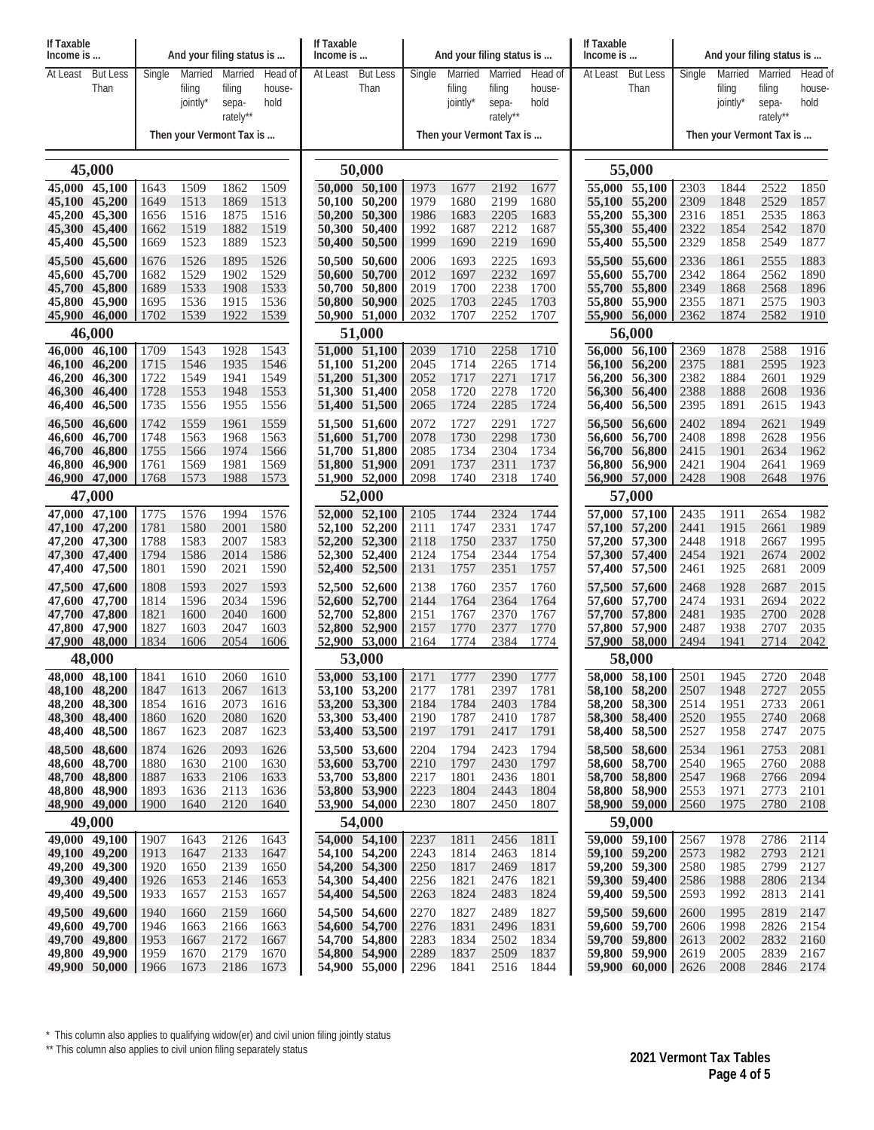| If Taxable<br>Income is        |                          |              |                    | And your filing status is |                          | If Taxable<br>Income is |                                |                          | And your filing status is |                 |                | If Taxable<br>Income is                                 |                                |              | And your filing status is |                   |                |  |
|--------------------------------|--------------------------|--------------|--------------------|---------------------------|--------------------------|-------------------------|--------------------------------|--------------------------|---------------------------|-----------------|----------------|---------------------------------------------------------|--------------------------------|--------------|---------------------------|-------------------|----------------|--|
| At Least                       | <b>But Less</b>          | Single       | Married            | Married                   | Head of                  | At Least                | <b>But Less</b>                | Single                   | Married                   | Married         | Head of        | At Least                                                | <b>But Less</b>                | Single       | Married                   | Married           | Head of        |  |
|                                | Than                     |              | filing<br>jointly* | filing<br>sepa-           | house-<br>hold           |                         | Than                           |                          | filing<br>jointly*        | filing<br>sepa- | house-<br>hold |                                                         | Than                           |              | filing<br>jointly*        | filing            | house-<br>hold |  |
|                                |                          |              |                    | rately**                  |                          |                         |                                |                          |                           | rately**        |                |                                                         |                                |              |                           | sepa-<br>rately** |                |  |
|                                | Then your Vermont Tax is |              |                    |                           | Then your Vermont Tax is |                         |                                | Then your Vermont Tax is |                           |                 |                |                                                         |                                |              |                           |                   |                |  |
| 45,000                         |                          |              |                    |                           |                          |                         | 50,000                         |                          |                           |                 |                |                                                         | 55,000                         |              |                           |                   |                |  |
| 45,000 45,100                  |                          | 1643         | 1509               | 1862                      | 1509                     | 50,000 50,100           |                                | 1973                     | 1677                      | 2192            | 1677           |                                                         | 55,000 55,100                  | 2303         | 1844                      | 2522              | 1850           |  |
| 45,100 45,200                  |                          | 1649         | 1513               | 1869                      | 1513                     |                         | 50,100 50,200                  | 1979                     | 1680                      | 2199            | 1680           |                                                         | 55,100 55,200                  | 2309         | 1848                      | 2529              | 1857           |  |
| 45,200 45,300<br>45,300 45,400 |                          | 1656<br>1662 | 1516<br>1519       | 1875<br>1882              | 1516<br>1519             |                         | 50,200 50,300<br>50,300 50,400 | 1986<br>1992             | 1683<br>1687              | 2205<br>2212    | 1683<br>1687   |                                                         | 55,200 55,300<br>55,300 55,400 | 2316<br>2322 | 1851<br>1854              | 2535<br>2542      | 1863<br>1870   |  |
| 45,400 45,500                  |                          | 1669         | 1523               | 1889                      | 1523                     |                         | 50,400 50,500                  | 1999                     | 1690                      | 2219            | 1690           |                                                         | 55,400 55,500                  | 2329         | 1858                      | 2549              | 1877           |  |
| 45,500 45,600                  |                          | 1676         | 1526               | 1895                      | 1526                     | 50,500 50,600           |                                | 2006                     | 1693                      | 2225            | 1693           | 55,500                                                  | 55,600                         | 2336         | 1861                      | 2555              | 1883           |  |
| 45,600 45,700                  |                          | 1682         | 1529               | 1902                      | 1529                     |                         | 50,600 50,700                  | 2012                     | 1697                      | 2232            | 1697           |                                                         | 55,600 55,700                  | 2342         | 1864                      | 2562              | 1890           |  |
| 45,700 45,800<br>45,800 45,900 |                          | 1689<br>1695 | 1533<br>1536       | 1908<br>1915              | 1533<br>1536             |                         | 50,700 50,800<br>50,800 50,900 | 2019<br>2025             | 1700<br>1703              | 2238<br>2245    | 1700<br>1703   |                                                         | 55,700 55,800<br>55,800 55,900 | 2349<br>2355 | 1868<br>1871              | 2568<br>2575      | 1896<br>1903   |  |
| 45,900 46,000                  |                          | 1702         | 1539               | 1922                      | 1539                     |                         | 50,900 51,000                  | 2032                     | 1707                      | 2252            | 1707           |                                                         | 55,900 56,000                  | 2362         | 1874                      | 2582              | 1910           |  |
| 46,000                         |                          |              |                    |                           |                          |                         | 51,000                         |                          |                           |                 |                |                                                         | 56,000                         |              |                           |                   |                |  |
| 46,000                         | 46,100                   | 1709         | 1543               | 1928                      | 1543                     |                         | 51,000 51,100                  | 2039                     | 1710                      | 2258            | 1710           |                                                         | 56,000 56,100                  | 2369         | 1878                      | 2588              | 1916           |  |
| 46,100 46,200<br>46,200 46,300 |                          | 1715<br>1722 | 1546<br>1549       | 1935<br>1941              | 1546<br>1549             |                         | 51,100 51,200<br>51,200 51,300 | 2045<br>2052             | 1714<br>1717              | 2265<br>2271    | 1714<br>1717   | 56,100                                                  | 56,200<br>56,200 56,300        | 2375<br>2382 | 1881<br>1884              | 2595<br>2601      | 1923<br>1929   |  |
| 46,300 46,400                  |                          | 1728         | 1553               | 1948                      | 1553                     |                         | 51,300 51,400                  | 2058                     | 1720                      | 2278            | 1720           |                                                         | 56,300 56,400                  | 2388         | 1888                      | 2608              | 1936           |  |
| 46,400                         | 46,500                   | 1735         | 1556               | 1955                      | 1556                     |                         | 51,400 51,500                  | 2065                     | 1724                      | 2285            | 1724           | 56,400                                                  | 56,500                         | 2395         | 1891                      | 2615              | 1943           |  |
| 46,500 46,600                  |                          | 1742         | 1559               | 1961                      | 1559                     | 51,500 51,600           |                                | 2072                     | 1727                      | 2291            | 1727           |                                                         | 56,500 56,600                  | 2402         | 1894                      | 2621              | 1949           |  |
| 46,600<br>46,700 46,800        | 46,700                   | 1748<br>1755 | 1563<br>1566       | 1968<br>1974              | 1563<br>1566             |                         | 51,600 51,700<br>51,700 51,800 | 2078<br>2085             | 1730<br>1734              | 2298<br>2304    | 1730<br>1734   | 56,700                                                  | 56,600 56,700<br>56,800        | 2408<br>2415 | 1898<br>1901              | 2628<br>2634      | 1956<br>1962   |  |
| 46,800 46,900                  |                          | 1761         | 1569               | 1981                      | 1569                     |                         | 51,800 51,900                  | 2091                     | 1737                      | 2311            | 1737           |                                                         | 56,800 56,900                  | 2421         | 1904                      | 2641              | 1969           |  |
| 46,900 47,000                  |                          | 1768         | 1573               | 1988                      | 1573                     |                         | 51,900 52,000                  | 2098                     | 1740                      | 2318            | 1740           |                                                         | 56,900 57,000                  | 2428         | 1908                      | 2648              | 1976           |  |
| 47,000                         |                          |              |                    |                           |                          | 52,000                  |                                |                          |                           |                 |                | 57,000                                                  |                                |              |                           |                   |                |  |
| 47,000 47,100<br>47,100 47,200 |                          | 1775<br>1781 | 1576<br>1580       | 1994<br>2001              | 1576<br>1580             |                         | 52,000 52,100<br>52,100 52,200 | 2105<br>2111             | 1744<br>1747              | 2324<br>2331    | 1744<br>1747   |                                                         | 57,000 57,100<br>57,100 57,200 | 2435<br>2441 | 1911<br>1915              | 2654<br>2661      | 1982<br>1989   |  |
| 47,200 47,300                  |                          | 1788         | 1583               | 2007                      | 1583                     |                         | 52,200 52,300                  | 2118                     | 1750                      | 2337            | 1750           |                                                         | 57,200 57,300                  | 2448         | 1918                      | 2667              | 1995           |  |
| 47,300 47,400                  |                          | 1794         | 1586               | 2014                      | 1586                     |                         | 52,300 52,400                  | 2124                     | 1754                      | 2344            | 1754           |                                                         | 57,300 57,400                  | 2454         | 1921                      | 2674              | 2002           |  |
| 47,400 47,500                  |                          | 1801         | 1590               | 2021                      | 1590                     |                         | 52,400 52,500                  | 2131                     | 1757                      | 2351            | 1757           |                                                         | 57,400 57,500                  | 2461         | 1925                      | 2681              | 2009           |  |
| 47,500 47,600<br>47,600 47,700 |                          | 1808<br>1814 | 1593<br>1596       | 2027<br>2034              | 1593<br>1596             | 52,500 52,600           | 52,600 52,700                  | 2138<br>2144             | 1760<br>1764              | 2357<br>2364    | 1760<br>1764   |                                                         | 57,500 57,600<br>57,600 57,700 | 2468<br>2474 | 1928<br>1931              | 2687<br>2694      | 2015<br>2022   |  |
| 47,700 47,800                  |                          | 1821         | 1600               | 2040                      | 1600                     |                         | 52,700 52,800                  | 2151                     | 1767                      | 2370            | 1767           |                                                         | 57,700 57,800                  | 2481         | 1935                      | 2700              | 2028           |  |
| 47,800 47,900                  |                          | 1827         | 1603               | 2047                      | 1603                     |                         | 52,800 52,900                  | 2157                     | 1770                      | 2377            | 1770           |                                                         | 57,800 57,900                  | 2487         | 1938                      | 2707              | 2035           |  |
| 47,900 48,000<br>48,000        |                          | 1834         | 1606               | 2054                      | 1606                     |                         | 52,900 53,000<br>53,000        | 2164                     | 1774                      | 2384            | 1774           | 57,900 58,000<br>2494<br>1941<br>2714<br>2042<br>58,000 |                                |              |                           |                   |                |  |
| 48,000 48,100                  |                          | 1841         | 1610               | 2060                      | 1610                     |                         | 53,000 53,100                  | 2171                     | 1777                      | 2390            | 1777           |                                                         | 58,000 58,100 2501             |              | 1945                      | 2720              | 2048           |  |
| 48,100 48,200                  |                          | 1847         | 1613               | 2067                      | 1613                     |                         | 53,100 53,200                  | 2177                     | 1781                      | 2397            | 1781           |                                                         | 58,100 58,200                  | 2507         | 1948                      | 2727              | 2055           |  |
| 48,200 48,300                  |                          | 1854         | 1616               | 2073                      | 1616                     |                         | 53,200 53,300                  | 2184                     | 1784                      | 2403            | 1784           |                                                         | 58,200 58,300                  | 2514         | 1951                      | 2733              | 2061           |  |
| 48,300 48,400<br>48,400 48,500 |                          | 1860<br>1867 | 1620<br>1623       | 2080<br>2087              | 1620<br>1623             |                         | 53,300 53,400<br>53,400 53,500 | 2190<br>2197             | 1787<br>1791              | 2410<br>2417    | 1787<br>1791   |                                                         | 58,300 58,400<br>58,400 58,500 | 2520<br>2527 | 1955<br>1958              | 2740<br>2747      | 2068<br>2075   |  |
| 48,500 48,600                  |                          | 1874         | 1626               | 2093                      | 1626                     |                         | 53,500 53,600                  | 2204                     | 1794                      | 2423            | 1794           |                                                         | 58,500 58,600                  | 2534         | 1961                      | 2753              | 2081           |  |
| 48,600 48,700                  |                          | 1880         | 1630               | 2100                      | 1630                     |                         | 53,600 53,700                  | 2210                     | 1797                      | 2430            | 1797           |                                                         | 58,600 58,700                  | 2540         | 1965                      | 2760              | 2088           |  |
| 48,700 48,800                  |                          | 1887         | 1633               | 2106                      | 1633                     |                         | 53,700 53,800                  | 2217                     | 1801                      | 2436            | 1801           |                                                         | 58,700 58,800                  | 2547         | 1968                      | 2766              | 2094           |  |
| 48,800 48,900<br>48,900 49,000 |                          | 1893<br>1900 | 1636<br>1640       | 2113<br>2120              | 1636<br>1640             |                         | 53,800 53,900<br>53,900 54,000 | 2223<br>2230             | 1804<br>1807              | 2443<br>2450    | 1804<br>1807   |                                                         | 58,800 58,900<br>58,900 59,000 | 2553<br>2560 | 1971<br>1975              | 2773<br>2780      | 2101<br>2108   |  |
| 49,000                         |                          |              |                    |                           |                          |                         | 54,000                         |                          |                           |                 |                |                                                         | 59,000                         |              |                           |                   |                |  |
| 49,000 49,100                  |                          | 1907         | 1643               | 2126                      | 1643                     |                         | 54,000 54,100                  | 2237                     | 1811                      | 2456            | 1811           |                                                         | 59,000 59,100                  | 2567         | 1978                      | 2786              | 2114           |  |
| 49,100 49,200                  |                          | 1913         | 1647               | 2133                      | 1647                     |                         | 54,100 54,200                  | 2243                     | 1814                      | 2463            | 1814           |                                                         | 59,100 59,200                  | 2573         | 1982                      | 2793              | 2121           |  |
| 49,200 49,300<br>49,300 49,400 |                          | 1920<br>1926 | 1650<br>1653       | 2139<br>2146              | 1650<br>1653             |                         | 54,200 54,300<br>54,300 54,400 | 2250<br>2256             | 1817<br>1821              | 2469<br>2476    | 1817<br>1821   |                                                         | 59,200 59,300<br>59,300 59,400 | 2580<br>2586 | 1985<br>1988              | 2799<br>2806      | 2127<br>2134   |  |
| 49,400 49,500                  |                          | 1933         | 1657               | 2153                      | 1657                     |                         | 54,400 54,500                  | 2263                     | 1824                      | 2483            | 1824           |                                                         | 59,400 59,500                  | 2593         | 1992                      | 2813              | 2141           |  |
| 49,500 49,600                  |                          | 1940         | 1660               | 2159                      | 1660                     |                         | 54,500 54,600                  | 2270                     | 1827                      | 2489            | 1827           |                                                         | 59,500 59,600                  | 2600         | 1995                      | 2819              | 2147           |  |
| 49,600 49,700                  |                          | 1946         | 1663               | 2166                      | 1663                     |                         | 54,600 54,700                  | 2276                     | 1831                      | 2496            | 1831           |                                                         | 59,600 59,700                  | 2606         | 1998                      | 2826              | 2154           |  |
| 49,700 49,800<br>49,800 49,900 |                          | 1953<br>1959 | 1667<br>1670       | 2172<br>2179              | 1667<br>1670             |                         | 54,700 54,800<br>54,800 54,900 | 2283<br>2289             | 1834<br>1837              | 2502<br>2509    | 1834<br>1837   |                                                         | 59,700 59,800<br>59,800 59,900 | 2613<br>2619 | 2002<br>2005              | 2832<br>2839      | 2160<br>2167   |  |
| 49,900 50,000 1966             |                          |              | 1673               | 2186                      | 1673                     |                         | 54,900 55,000                  | 2296                     | 1841                      | 2516            | 1844           |                                                         | $59,900$ 60,000   2626         |              | 2008                      | 2846              | 2174           |  |
|                                |                          |              |                    |                           |                          |                         |                                |                          |                           |                 |                |                                                         |                                |              |                           |                   |                |  |